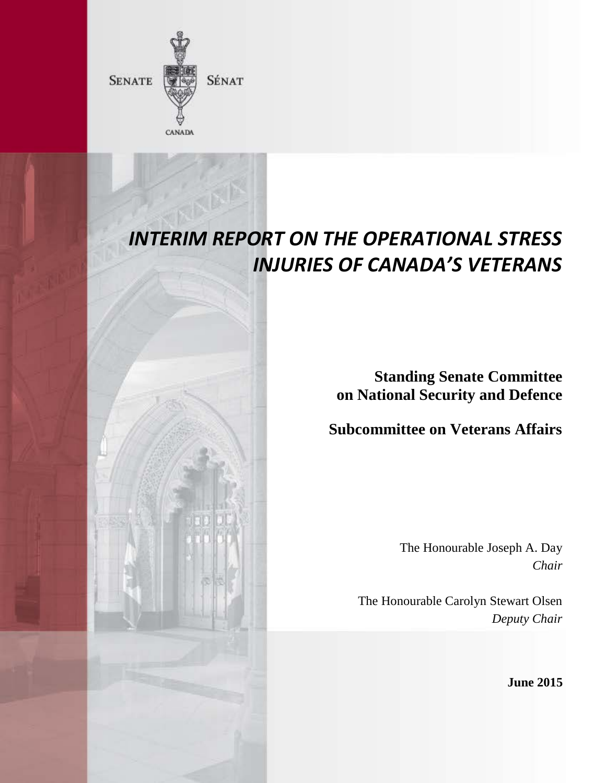

# *INTERIM REPORT ON THE OPERATIONAL STRESS INJURIES OF CANADA'S VETERANS*

**Standing Senate Committee on National Security and Defence**

**Subcommittee on Veterans Affairs**

The Honourable Joseph A. Day *Chair* 

The Honourable Carolyn Stewart Olsen *Deputy Chair*

**June 2015**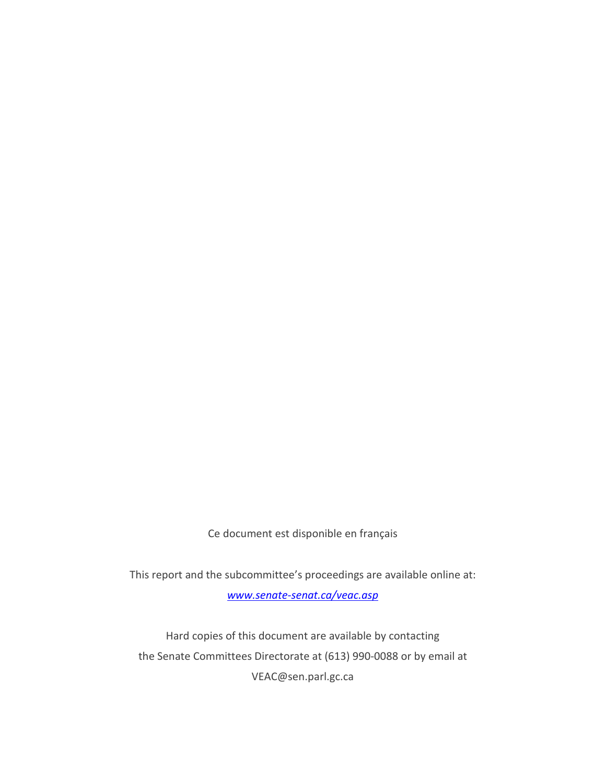Ce document est disponible en français

This report and the subcommittee's proceedings are available online at: *[www.senate-senat.ca/veac.asp](http://www.senate-senat.ca/veac.asp)*

Hard copies of this document are available by contacting the Senate Committees Directorate at (613) 990-0088 or by email at VEAC@sen.parl.gc.ca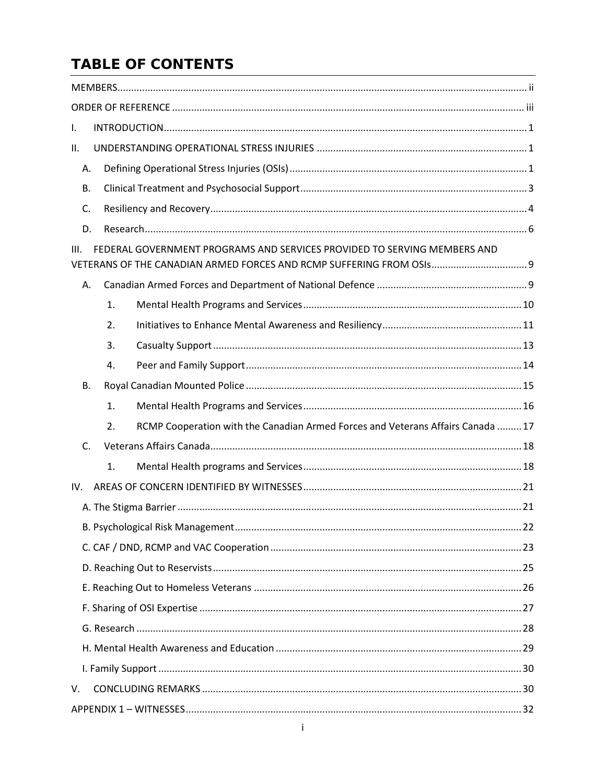# **TABLE OF CONTENTS**

| $\mathsf{L}$                                                                                                                                             |  |  |  |
|----------------------------------------------------------------------------------------------------------------------------------------------------------|--|--|--|
| ΙΙ.                                                                                                                                                      |  |  |  |
| А.                                                                                                                                                       |  |  |  |
| В.                                                                                                                                                       |  |  |  |
| C.                                                                                                                                                       |  |  |  |
| D.                                                                                                                                                       |  |  |  |
| FEDERAL GOVERNMENT PROGRAMS AND SERVICES PROVIDED TO SERVING MEMBERS AND<br>III.<br>VETERANS OF THE CANADIAN ARMED FORCES AND RCMP SUFFERING FROM OSIs 9 |  |  |  |
| А.                                                                                                                                                       |  |  |  |
| 1.                                                                                                                                                       |  |  |  |
| 2.                                                                                                                                                       |  |  |  |
| 3.                                                                                                                                                       |  |  |  |
| 4.                                                                                                                                                       |  |  |  |
| В.                                                                                                                                                       |  |  |  |
| 1.                                                                                                                                                       |  |  |  |
| RCMP Cooperation with the Canadian Armed Forces and Veterans Affairs Canada  17<br>2.                                                                    |  |  |  |
| C.                                                                                                                                                       |  |  |  |
| $\mathbf{1}$ .                                                                                                                                           |  |  |  |
| IV.                                                                                                                                                      |  |  |  |
|                                                                                                                                                          |  |  |  |
|                                                                                                                                                          |  |  |  |
|                                                                                                                                                          |  |  |  |
|                                                                                                                                                          |  |  |  |
|                                                                                                                                                          |  |  |  |
|                                                                                                                                                          |  |  |  |
|                                                                                                                                                          |  |  |  |
|                                                                                                                                                          |  |  |  |
|                                                                                                                                                          |  |  |  |
| V.                                                                                                                                                       |  |  |  |
|                                                                                                                                                          |  |  |  |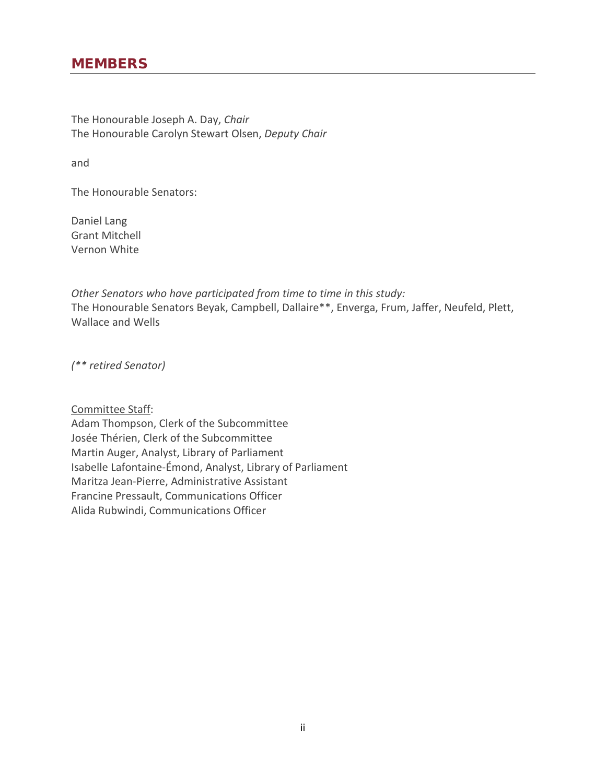# <span id="page-3-0"></span>**MEMBERS**

The Honourable Joseph A. Day, *Chair* The Honourable Carolyn Stewart Olsen, *Deputy Chair*

and

The Honourable Senators:

Daniel Lang Grant Mitchell Vernon White

*Other Senators who have participated from time to time in this study:* The Honourable Senators Beyak, Campbell, Dallaire\*\*, Enverga, Frum, Jaffer, Neufeld, Plett, Wallace and Wells

*(\*\* retired Senator)*

Committee Staff:

Adam Thompson, Clerk of the Subcommittee Josée Thérien, Clerk of the Subcommittee Martin Auger, Analyst, Library of Parliament Isabelle Lafontaine-Émond, Analyst, Library of Parliament Maritza Jean-Pierre, Administrative Assistant Francine Pressault, Communications Officer Alida Rubwindi, Communications Officer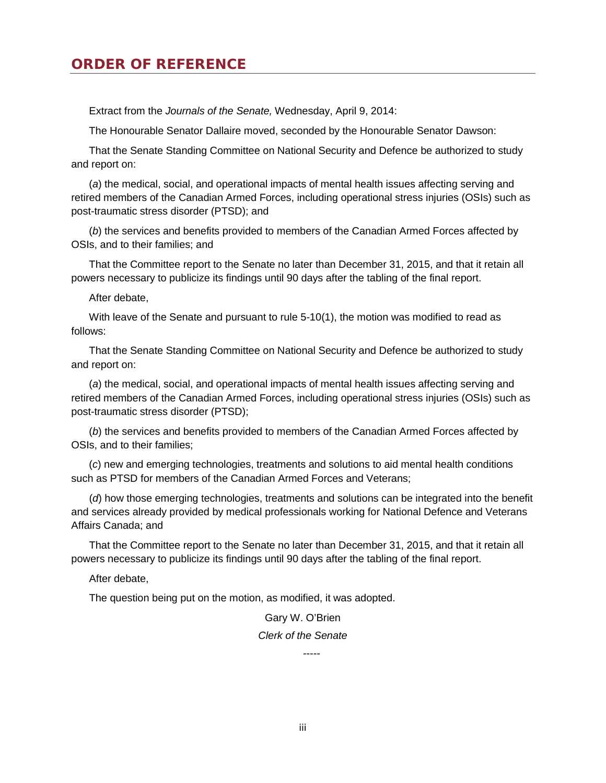# <span id="page-4-0"></span>**ORDER OF REFERENCE**

Extract from the *Journals of the Senate,* Wednesday, April 9, 2014:

The Honourable Senator Dallaire moved, seconded by the Honourable Senator Dawson:

That the Senate Standing Committee on National Security and Defence be authorized to study and report on:

(*a*) the medical, social, and operational impacts of mental health issues affecting serving and retired members of the Canadian Armed Forces, including operational stress injuries (OSIs) such as post-traumatic stress disorder (PTSD); and

(*b*) the services and benefits provided to members of the Canadian Armed Forces affected by OSIs, and to their families; and

That the Committee report to the Senate no later than December 31, 2015, and that it retain all powers necessary to publicize its findings until 90 days after the tabling of the final report.

After debate,

With leave of the Senate and pursuant to rule 5-10(1), the motion was modified to read as follows:

That the Senate Standing Committee on National Security and Defence be authorized to study and report on:

(*a*) the medical, social, and operational impacts of mental health issues affecting serving and retired members of the Canadian Armed Forces, including operational stress injuries (OSIs) such as post-traumatic stress disorder (PTSD);

(*b*) the services and benefits provided to members of the Canadian Armed Forces affected by OSIs, and to their families;

(*c*) new and emerging technologies, treatments and solutions to aid mental health conditions such as PTSD for members of the Canadian Armed Forces and Veterans;

(*d*) how those emerging technologies, treatments and solutions can be integrated into the benefit and services already provided by medical professionals working for National Defence and Veterans Affairs Canada; and

That the Committee report to the Senate no later than December 31, 2015, and that it retain all powers necessary to publicize its findings until 90 days after the tabling of the final report.

After debate,

The question being put on the motion, as modified, it was adopted.

Gary W. O'Brien *Clerk of the Senate*

-----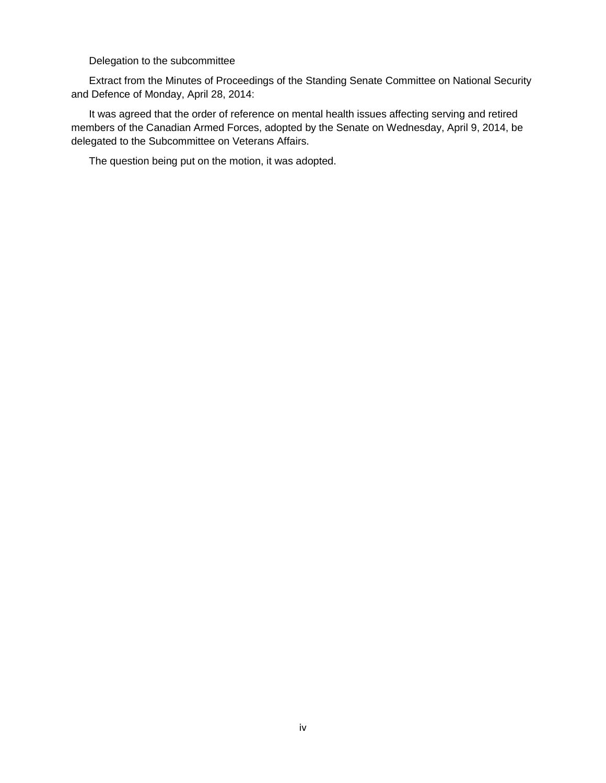Delegation to the subcommittee

Extract from the Minutes of Proceedings of the Standing Senate Committee on National Security and Defence of Monday, April 28, 2014:

It was agreed that the order of reference on mental health issues affecting serving and retired members of the Canadian Armed Forces, adopted by the Senate on Wednesday, April 9, 2014, be delegated to the Subcommittee on Veterans Affairs.

The question being put on the motion, it was adopted.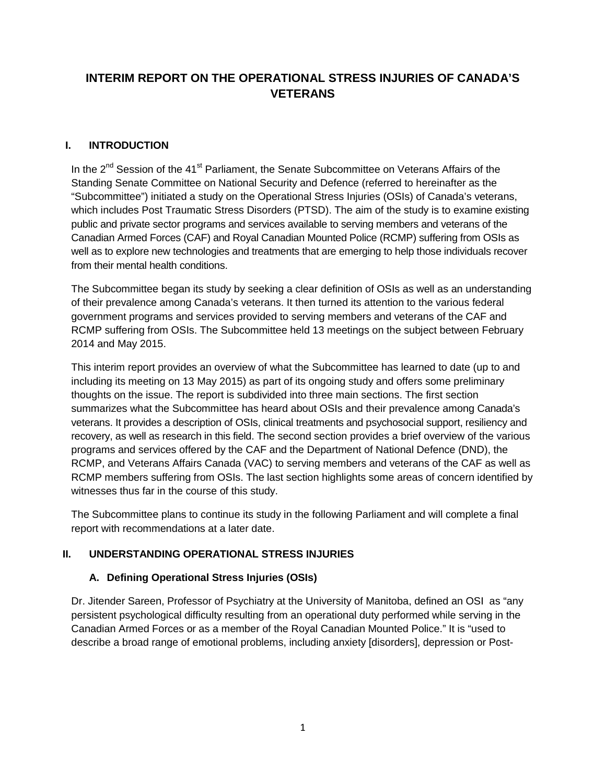# **INTERIM REPORT ON THE OPERATIONAL STRESS INJURIES OF CANADA'S VETERANS**

#### <span id="page-6-0"></span>**I. INTRODUCTION**

In the  $2^{nd}$  Session of the 41<sup>st</sup> Parliament, the Senate Subcommittee on Veterans Affairs of the Standing Senate Committee on National Security and Defence (referred to hereinafter as the "Subcommittee") initiated a study on the Operational Stress Injuries (OSIs) of Canada's veterans, which includes Post Traumatic Stress Disorders (PTSD). The aim of the study is to examine existing public and private sector programs and services available to serving members and veterans of the Canadian Armed Forces (CAF) and Royal Canadian Mounted Police (RCMP) suffering from OSIs as well as to explore new technologies and treatments that are emerging to help those individuals recover from their mental health conditions.

The Subcommittee began its study by seeking a clear definition of OSIs as well as an understanding of their prevalence among Canada's veterans. It then turned its attention to the various federal government programs and services provided to serving members and veterans of the CAF and RCMP suffering from OSIs. The Subcommittee held 13 meetings on the subject between February 2014 and May 2015.

This interim report provides an overview of what the Subcommittee has learned to date (up to and including its meeting on 13 May 2015) as part of its ongoing study and offers some preliminary thoughts on the issue. The report is subdivided into three main sections. The first section summarizes what the Subcommittee has heard about OSIs and their prevalence among Canada's veterans. It provides a description of OSIs, clinical treatments and psychosocial support, resiliency and recovery, as well as research in this field. The second section provides a brief overview of the various programs and services offered by the CAF and the Department of National Defence (DND), the RCMP, and Veterans Affairs Canada (VAC) to serving members and veterans of the CAF as well as RCMP members suffering from OSIs. The last section highlights some areas of concern identified by witnesses thus far in the course of this study.

The Subcommittee plans to continue its study in the following Parliament and will complete a final report with recommendations at a later date.

#### <span id="page-6-1"></span>**II. UNDERSTANDING OPERATIONAL STRESS INJURIES**

#### <span id="page-6-2"></span>**A. Defining Operational Stress Injuries (OSIs)**

Dr. Jitender Sareen, Professor of Psychiatry at the University of Manitoba, defined an OSI as "any persistent psychological difficulty resulting from an operational duty performed while serving in the Canadian Armed Forces or as a member of the Royal Canadian Mounted Police." It is "used to describe a broad range of emotional problems, including anxiety [disorders], depression or Post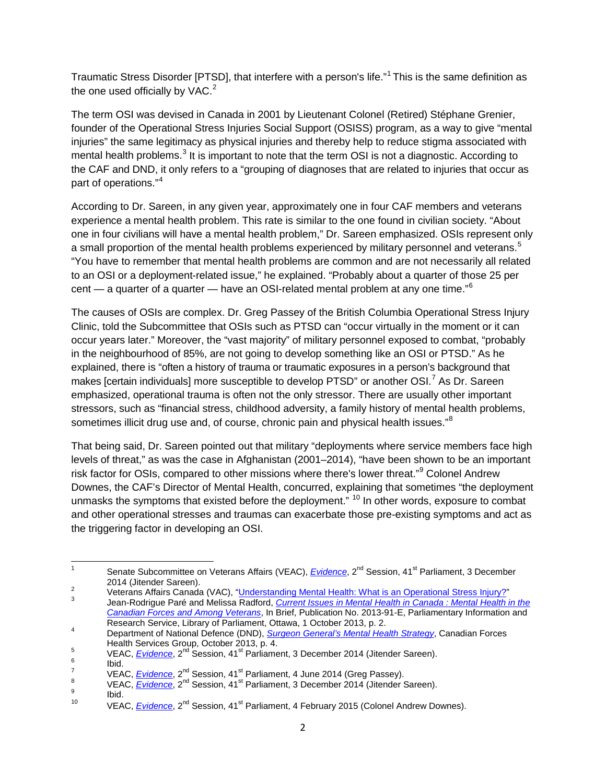Traumatic Stress Disorder [PTSD], that interfere with a person's life."<sup>[1](#page-7-0)</sup> This is the same definition as the one used officially by VAC.<sup>[2](#page-7-1)</sup>

The term OSI was devised in Canada in 2001 by Lieutenant Colonel (Retired) Stéphane Grenier, founder of the Operational Stress Injuries Social Support (OSISS) program, as a way to give "mental injuries" the same legitimacy as physical injuries and thereby help to reduce stigma associated with mental health problems.<sup>[3](#page-7-2)</sup> It is important to note that the term OSI is not a diagnostic. According to the CAF and DND, it only refers to a "grouping of diagnoses that are related to injuries that occur as part of operations."<sup>[4](#page-7-3)</sup>

According to Dr. Sareen, in any given year, approximately one in four CAF members and veterans experience a mental health problem. This rate is similar to the one found in civilian society. "About one in four civilians will have a mental health problem," Dr. Sareen emphasized. OSIs represent only a small proportion of the mental health problems experienced by military personnel and veterans.<sup>[5](#page-7-4)</sup> "You have to remember that mental health problems are common and are not necessarily all related to an OSI or a deployment-related issue," he explained. "Probably about a quarter of those 25 per cent — a quarter of a quarter — have an OSI-related mental problem at any one time."<sup>[6](#page-7-5)</sup>

The causes of OSIs are complex. Dr. Greg Passey of the British Columbia Operational Stress Injury Clinic, told the Subcommittee that OSIs such as PTSD can "occur virtually in the moment or it can occur years later." Moreover, the "vast majority" of military personnel exposed to combat, "probably in the neighbourhood of 85%, are not going to develop something like an OSI or PTSD." As he explained, there is "often a history of trauma or traumatic exposures in a person's background that makes [certain individuals] more susceptible to develop PTSD" or another OSI.<sup>[7](#page-7-6)</sup> As Dr. Sareen emphasized, operational trauma is often not the only stressor. There are usually other important stressors, such as "financial stress, childhood adversity, a family history of mental health problems, sometimes illicit drug use and, of course, chronic pain and physical health issues."<sup>[8](#page-7-7)</sup>

That being said, Dr. Sareen pointed out that military "deployments where service members face high levels of threat," as was the case in Afghanistan (2001–2014), "have been shown to be an important risk factor for OSIs, compared to other missions where there's lower threat."<sup>[9](#page-7-8)</sup> Colonel Andrew Downes, the CAF's Director of Mental Health, concurred, explaining that sometimes "the deployment unmasks the symptoms that existed before the deployment."  $10$  In other words, exposure to combat and other operational stresses and traumas can exacerbate those pre-existing symptoms and act as the triggering factor in developing an OSI.

<span id="page-7-0"></span><sup>&</sup>lt;sup>1</sup> Senate Subcommittee on Veterans Affairs (VEAC), *[Evidence](http://www.parl.gc.ca/Content/SEN/Committee/412/veac/pdf/08issue.pdf)*, 2<sup>nd</sup> Session, 41<sup>st</sup> Parliament, 3 December<br>2014 (Jitender Sareen).

<span id="page-7-2"></span><span id="page-7-1"></span><sup>2&</sup>lt;br>Veterans Affairs Canada (VAC), "<u>Understanding Mental Health: What is an Operational Stress Injury?</u>"<br>Jean-Rodrigue Paré and Melissa Radford, *[Current Issues in Mental Health in Canada](http://www.parl.gc.ca/Content/LOP/ResearchPublications/2013-91-e.pdf) : Mental Health in the [Canadian Forces and Among Veterans](http://www.parl.gc.ca/Content/LOP/ResearchPublications/2013-91-e.pdf)*, In Brief, Publication No. 2013-91-E, Parliamentary Information and

<span id="page-7-3"></span>Research Service, Library of Parliament, Ottawa, 1 October 2013, p. 2.<br>Department of National Defence (DND), *[Surgeon General's Mental Health Strategy](http://www.forces.gc.ca/assets/FORCES_Internet/docs/en/about-reports-pubs-health/surg-gen-mental-health-strategy.pdf)*, Canadian Forces<br>Health Services Group, October 2013, p. 4.

<span id="page-7-5"></span><span id="page-7-4"></span>

<span id="page-7-6"></span>

<span id="page-7-8"></span><span id="page-7-7"></span>

<span id="page-7-9"></span>

<sup>&</sup>lt;sup>5</sup><br>VEAC, <u>[Evidence](http://www.parl.gc.ca/Content/SEN/Committee/412/veac/pdf/09issue.pdf)</u>, 2<sup>nd</sup> Session, 41<sup>st</sup> Parliament, 3 December 2014 (Jitender Sareen).<br>
<sup>6</sup><br>
16 UEAC, Evidence, 2<sup>nd</sup> Session, 41<sup>st</sup> Parliament, 4 June 2014 (Greg Passey).<br>
<sup>8</sup><br>
16 VEAC, Evidence, 2<sup>nd</sup> Session, 41<sup>s</sup>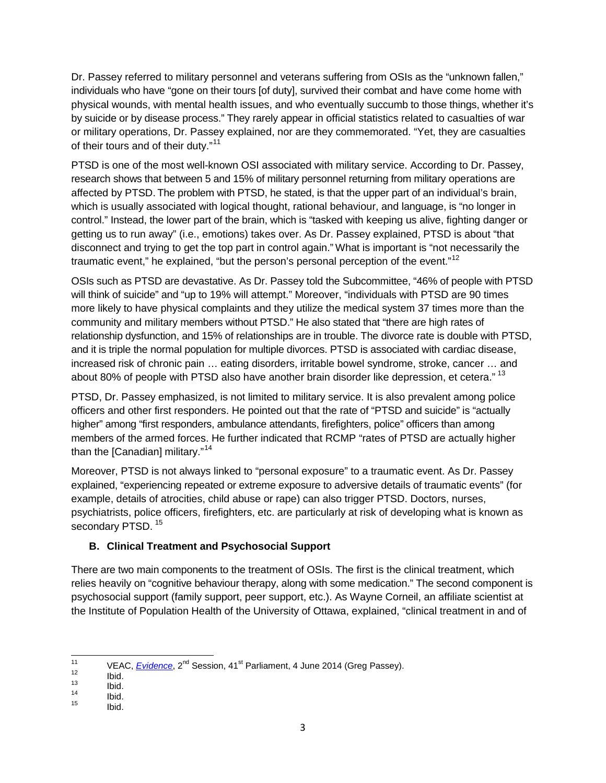Dr. Passey referred to military personnel and veterans suffering from OSIs as the "unknown fallen," individuals who have "gone on their tours [of duty], survived their combat and have come home with physical wounds, with mental health issues, and who eventually succumb to those things, whether it's by suicide or by disease process." They rarely appear in official statistics related to casualties of war or military operations, Dr. Passey explained, nor are they commemorated. "Yet, they are casualties of their tours and of their duty."<sup>[11](#page-8-1)</sup>

PTSD is one of the most well-known OSI associated with military service. According to Dr. Passey, research shows that between 5 and 15% of military personnel returning from military operations are affected by PTSD. The problem with PTSD, he stated, is that the upper part of an individual's brain, which is usually associated with logical thought, rational behaviour, and language, is "no longer in control." Instead, the lower part of the brain, which is "tasked with keeping us alive, fighting danger or getting us to run away" (i.e., emotions) takes over. As Dr. Passey explained, PTSD is about "that disconnect and trying to get the top part in control again." What is important is "not necessarily the traumatic event," he explained, "but the person's personal perception of the event."<sup>[12](#page-8-2)</sup>

OSIs such as PTSD are devastative. As Dr. Passey told the Subcommittee, "46% of people with PTSD will think of suicide" and "up to 19% will attempt." Moreover, "individuals with PTSD are 90 times more likely to have physical complaints and they utilize the medical system 37 times more than the community and military members without PTSD." He also stated that "there are high rates of relationship dysfunction, and 15% of relationships are in trouble. The divorce rate is double with PTSD, and it is triple the normal population for multiple divorces. PTSD is associated with cardiac disease, increased risk of chronic pain … eating disorders, irritable bowel syndrome, stroke, cancer … and about 80% of people with PTSD also have another brain disorder like depression, et cetera." <sup>[13](#page-8-3)</sup>

PTSD, Dr. Passey emphasized, is not limited to military service. It is also prevalent among police officers and other first responders. He pointed out that the rate of "PTSD and suicide" is "actually higher" among "first responders, ambulance attendants, firefighters, police" officers than among members of the armed forces. He further indicated that RCMP "rates of PTSD are actually higher than the [Canadian] military."<sup>[14](#page-8-4)</sup>

Moreover, PTSD is not always linked to "personal exposure" to a traumatic event. As Dr. Passey explained, "experiencing repeated or extreme exposure to adversive details of traumatic events" (for example, details of atrocities, child abuse or rape) can also trigger PTSD. Doctors, nurses, psychiatrists, police officers, firefighters, etc. are particularly at risk of developing what is known as secondary PTSD.<sup>[15](#page-8-5)</sup>

# <span id="page-8-0"></span>**B. Clinical Treatment and Psychosocial Support**

There are two main components to the treatment of OSIs. The first is the clinical treatment, which relies heavily on "cognitive behaviour therapy, along with some medication." The second component is psychosocial support (family support, peer support, etc.). As Wayne Corneil, an affiliate scientist at the Institute of Population Health of the University of Ottawa, explained, "clinical treatment in and of

<span id="page-8-1"></span><sup>11</sup> VEAC, <u>[Evidence](http://www.parl.gc.ca/Content/SEN/Committee/412/veac/pdf/06issue.pdf)</u>, 2<sup>nd</sup> Session, 41<sup>st</sup> Parliament, 4 June 2014 (Greg Passey).<br>
12 Ibid.<br>
13 Ibid.<br>
15 Ibid.

<span id="page-8-3"></span><span id="page-8-2"></span>

<span id="page-8-4"></span>

<span id="page-8-5"></span>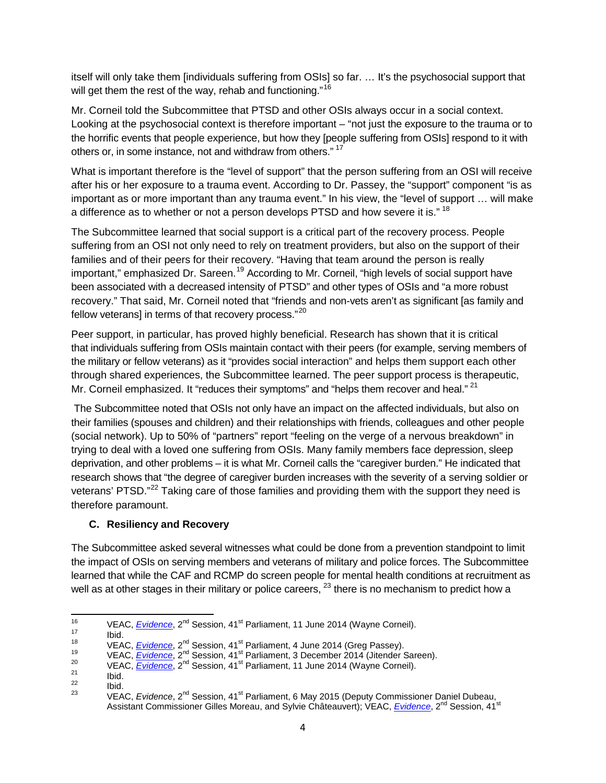itself will only take them [individuals suffering from OSIs] so far. … It's the psychosocial support that will get them the rest of the way, rehab and functioning."<sup>[16](#page-9-1)</sup>

Mr. Corneil told the Subcommittee that PTSD and other OSIs always occur in a social context. Looking at the psychosocial context is therefore important – "not just the exposure to the trauma or to the horrific events that people experience, but how they [people suffering from OSIs] respond to it with others or, in some instance, not and withdraw from others."<sup>[17](#page-9-2)</sup>

What is important therefore is the "level of support" that the person suffering from an OSI will receive after his or her exposure to a trauma event. According to Dr. Passey, the "support" component "is as important as or more important than any trauma event." In his view, the "level of support … will make a difference as to whether or not a person develops PTSD and how severe it is." <sup>[18](#page-9-3)</sup>

The Subcommittee learned that social support is a critical part of the recovery process. People suffering from an OSI not only need to rely on treatment providers, but also on the support of their families and of their peers for their recovery. "Having that team around the person is really important," emphasized Dr. Sareen.<sup>[19](#page-9-4)</sup> According to Mr. Corneil, "high levels of social support have been associated with a decreased intensity of PTSD" and other types of OSIs and "a more robust recovery." That said, Mr. Corneil noted that "friends and non-vets aren't as significant [as family and fellow veterans] in terms of that recovery process."<sup>[20](#page-9-5)</sup>

Peer support, in particular, has proved highly beneficial. Research has shown that it is critical that individuals suffering from OSIs maintain contact with their peers (for example, serving members of the military or fellow veterans) as it "provides social interaction" and helps them support each other through shared experiences, the Subcommittee learned. The peer support process is therapeutic, Mr. Corneil emphasized. It "reduces their symptoms" and "helps them recover and heal." <sup>[21](#page-9-6)</sup>

The Subcommittee noted that OSIs not only have an impact on the affected individuals, but also on their families (spouses and children) and their relationships with friends, colleagues and other people (social network). Up to 50% of "partners" report "feeling on the verge of a nervous breakdown" in trying to deal with a loved one suffering from OSIs. Many family members face depression, sleep deprivation, and other problems – it is what Mr. Corneil calls the "caregiver burden." He indicated that research shows that "the degree of caregiver burden increases with the severity of a serving soldier or veterans' PTSD."<sup>[22](#page-9-7)</sup> Taking care of those families and providing them with the support they need is therefore paramount.

#### <span id="page-9-0"></span>**C. Resiliency and Recovery**

The Subcommittee asked several witnesses what could be done from a prevention standpoint to limit the impact of OSIs on serving members and veterans of military and police forces. The Subcommittee learned that while the CAF and RCMP do screen people for mental health conditions at recruitment as well as at other stages in their military or police careers,  $^{23}$  $^{23}$  $^{23}$  there is no mechanism to predict how a

<span id="page-9-1"></span>

<span id="page-9-2"></span>

<span id="page-9-4"></span><span id="page-9-3"></span>

<span id="page-9-6"></span><span id="page-9-5"></span>

<span id="page-9-8"></span><span id="page-9-7"></span>

<sup>&</sup>lt;sup>16</sup><br>
VEAC, *[Evidence](http://www.parl.gc.ca/Content/SEN/Committee/412/veac/pdf/06issue.pdf)*, 2<sup>nd</sup> Session, 41<sup>st</sup> Parliament, 11 June 2014 (Wayne Corneil).<br>
1<sup>8</sup><br>
VEAC, *Evidence*, 2<sup>nd</sup> Session, 41<sup>st</sup> Parliament, 4 June 2014 (Greg Passey).<br>
VEAC, *Evidence*, 2<sup>nd</sup> Session, 41<sup>st</sup> Parlia Assistant Commissioner Gilles Moreau, and Sylvie Châteauvert); VEAC, *[Evidence](http://www.parl.gc.ca/Content/SEN/Committee/412/veac/pdf/09issue.pdf)*, 2<sup>nd</sup> Session, 41<sup>st</sup>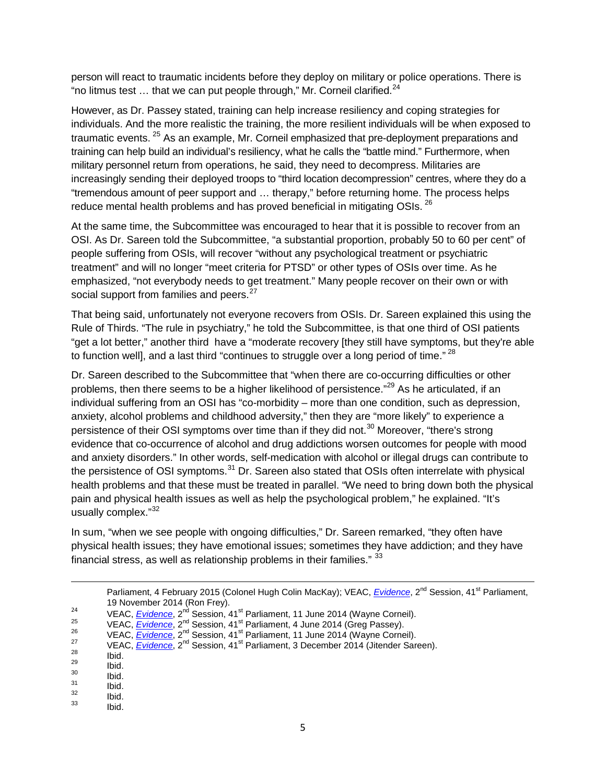person will react to traumatic incidents before they deploy on military or police operations. There is "no litmus test ... that we can put people through," Mr. Corneil clarified.<sup>[24](#page-10-0)</sup>

However, as Dr. Passey stated, training can help increase resiliency and coping strategies for individuals. And the more realistic the training, the more resilient individuals will be when exposed to traumatic events. <sup>[25](#page-10-1)</sup> As an example, Mr. Corneil emphasized that pre-deployment preparations and training can help build an individual's resiliency, what he calls the "battle mind." Furthermore, when military personnel return from operations, he said, they need to decompress. Militaries are increasingly sending their deployed troops to "third location decompression" centres, where they do a "tremendous amount of peer support and … therapy," before returning home. The process helps reduce mental health problems and has proved beneficial in mitigating OSIs.<sup>[26](#page-10-2)</sup>

At the same time, the Subcommittee was encouraged to hear that it is possible to recover from an OSI. As Dr. Sareen told the Subcommittee, "a substantial proportion, probably 50 to 60 per cent" of people suffering from OSIs, will recover "without any psychological treatment or psychiatric treatment" and will no longer "meet criteria for PTSD" or other types of OSIs over time. As he emphasized, "not everybody needs to get treatment." Many people recover on their own or with social support from families and peers.<sup>[27](#page-10-3)</sup>

That being said, unfortunately not everyone recovers from OSIs. Dr. Sareen explained this using the Rule of Thirds. "The rule in psychiatry," he told the Subcommittee, is that one third of OSI patients "get a lot better," another third have a "moderate recovery [they still have symptoms, but they're able to function well], and a last third "continues to struggle over a long period of time." <sup>[28](#page-10-4)</sup>

Dr. Sareen described to the Subcommittee that "when there are co-occurring difficulties or other problems, then there seems to be a higher likelihood of persistence."<sup>[29](#page-10-5)</sup> As he articulated, if an individual suffering from an OSI has "co-morbidity – more than one condition, such as depression, anxiety, alcohol problems and childhood adversity," then they are "more likely" to experience a persistence of their OSI symptoms over time than if they did not.<sup>[30](#page-10-6)</sup> Moreover, "there's strong evidence that co-occurrence of alcohol and drug addictions worsen outcomes for people with mood and anxiety disorders." In other words, self-medication with alcohol or illegal drugs can contribute to the persistence of OSI symptoms.<sup>[31](#page-10-7)</sup> Dr. Sareen also stated that OSIs often interrelate with physical health problems and that these must be treated in parallel. "We need to bring down both the physical pain and physical health issues as well as help the psychological problem," he explained. "It's usually complex."[32](#page-10-8)

In sum, "when we see people with ongoing difficulties," Dr. Sareen remarked, "they often have physical health issues; they have emotional issues; sometimes they have addiction; and they have financial stress, as well as relationship problems in their families." [33](#page-10-9)

Parliament, 4 February 2015 (Colonel Hugh Colin MacKay); VEAC, *[Evidence](http://www.parl.gc.ca/Content/SEN/Committee/412/veac/pdf/08issue.pdf)*, 2<sup>nd</sup> Session, 41<sup>st</sup> Parliament, 19 November 2014 (Ron Frey).<br>
<sup>24</sup> VEAC, *[Evidence](http://www.parl.gc.ca/Content/SEN/Committee/412/veac/pdf/08issue.pdf)*, 2<sup>nd</sup> Session, 41<sup>st</sup> Parliament, 11 June 2014 (Wayne Corneil).<br>
25 VEAC, *Evidence*, 2<sup>nd</sup> Session, 41<sup>st</sup> Parliament, 4 June 2014 (Greg Passey).<br>
26 VEAC, *Evidence*,

 $\overline{\phantom{a}}$ 

<span id="page-10-1"></span><span id="page-10-0"></span>

<span id="page-10-2"></span>

<span id="page-10-3"></span>

<span id="page-10-5"></span><span id="page-10-4"></span>

<span id="page-10-6"></span>

<span id="page-10-8"></span><span id="page-10-7"></span>

<span id="page-10-9"></span>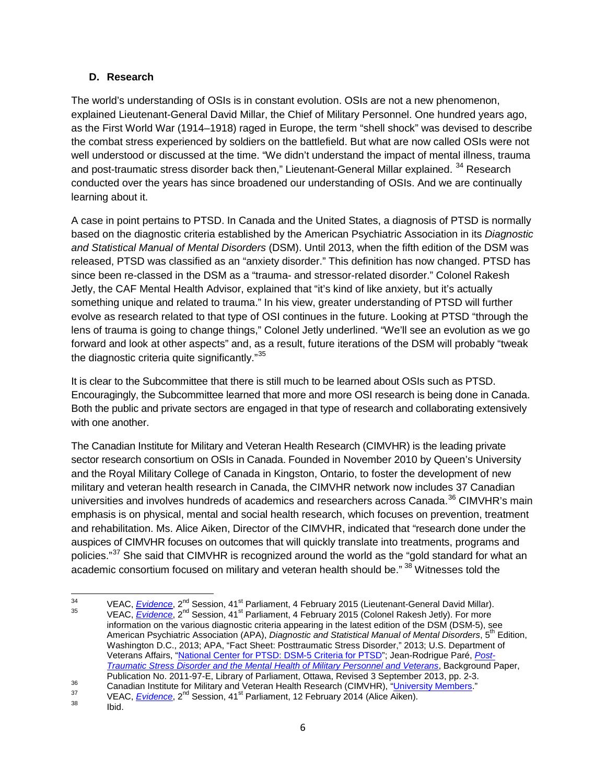#### <span id="page-11-0"></span>**D. Research**

The world's understanding of OSIs is in constant evolution. OSIs are not a new phenomenon, explained Lieutenant-General David Millar, the Chief of Military Personnel. One hundred years ago, as the First World War (1914–1918) raged in Europe, the term "shell shock" was devised to describe the combat stress experienced by soldiers on the battlefield. But what are now called OSIs were not well understood or discussed at the time. "We didn't understand the impact of mental illness, trauma and post-traumatic stress disorder back then," Lieutenant-General Millar explained. <sup>[34](#page-11-1)</sup> Research conducted over the years has since broadened our understanding of OSIs. And we are continually learning about it.

A case in point pertains to PTSD. In Canada and the United States, a diagnosis of PTSD is normally based on the diagnostic criteria established by the American Psychiatric Association in its *Diagnostic and Statistical Manual of Mental Disorders* (DSM). Until 2013, when the fifth edition of the DSM was released, PTSD was classified as an "anxiety disorder." This definition has now changed. PTSD has since been re-classed in the DSM as a "trauma- and stressor-related disorder." Colonel Rakesh Jetly, the CAF Mental Health Advisor, explained that "it's kind of like anxiety, but it's actually something unique and related to trauma." In his view, greater understanding of PTSD will further evolve as research related to that type of OSI continues in the future. Looking at PTSD "through the lens of trauma is going to change things," Colonel Jetly underlined. "We'll see an evolution as we go forward and look at other aspects" and, as a result, future iterations of the DSM will probably "tweak the diagnostic criteria quite significantly."<sup>35</sup>

It is clear to the Subcommittee that there is still much to be learned about OSIs such as PTSD. Encouragingly, the Subcommittee learned that more and more OSI research is being done in Canada. Both the public and private sectors are engaged in that type of research and collaborating extensively with one another.

The Canadian Institute for Military and Veteran Health Research (CIMVHR) is the leading private sector research consortium on OSIs in Canada. Founded in November 2010 by Queen's University and the Royal Military College of Canada in Kingston, Ontario, to foster the development of new military and veteran health research in Canada, the CIMVHR network now includes 37 Canadian universities and involves hundreds of academics and researchers across Canada.<sup>[36](#page-11-3)</sup> CIMVHR's main emphasis is on physical, mental and social health research, which focuses on prevention, treatment and rehabilitation. Ms. Alice Aiken, Director of the CIMVHR, indicated that "research done under the auspices of CIMVHR focuses on outcomes that will quickly translate into treatments, programs and policies."<sup>[37](#page-11-4)</sup> She said that CIMVHR is recognized around the world as the "gold standard for what an academic consortium focused on military and veteran health should be." <sup>[38](#page-11-5)</sup> Witnesses told the

<span id="page-11-2"></span><span id="page-11-1"></span><sup>&</sup>lt;sup>34</sup> VEAC, *[Evidence](http://www.parl.gc.ca/Content/SEN/Committee/412/veac/pdf/09issue.pdf)*, 2<sup>nd</sup> Session, 41<sup>st</sup> Parliament, 4 February 2015 (Lieutenant-General David Millar).<br><sup>35</sup> VEAC, *Evidence*, 2<sup>nd</sup> Session, 41<sup>st</sup> Parliament, 4 February 2015 (Colonel Rakesh Jetly). For more information on the various diagnostic criteria appearing in the latest edition of the DSM (DSM-5), see American Psychiatric Association (APA), *Diagnostic and Statistical Manual of Mental Disorders*, 5<sup>th</sup> Edition, Washington D.C., 2013; APA, "Fact Sheet: Posttraumatic Stress Disorder," 2013; U.S. Department of Veterans Affairs, ["National Center for PTSD: DSM-5 Criteria for PTSD"](http://www.ptsd.va.gov/professional/PTSD-overview/dsm5_criteria_ptsd.asp); Jean-Rodrigue Paré, *[Post-](http://www.parl.gc.ca/Content/LOP/ResearchPublications/2011-97-e.pdf)[Traumatic Stress Disorder and the Mental Health of Military Personnel and Veterans](http://www.parl.gc.ca/Content/LOP/ResearchPublications/2011-97-e.pdf)*, Background Paper,

<span id="page-11-4"></span><span id="page-11-3"></span><sup>&</sup>lt;sup>36</sup><br>Canadian Institute for Military and Veteran Health Research (CIMVHR), "<u>University Members</u>."<br>VEAC, <u>[Evidence](http://www.parl.gc.ca/Content/SEN/Committee/412/veac/pdf/02issue.pdf)</u>, 2<sup>nd</sup> Session, 41<sup>st</sup> Parliament, 12 February 2014 (Alice Aiken).<br>Ibid.

<span id="page-11-5"></span>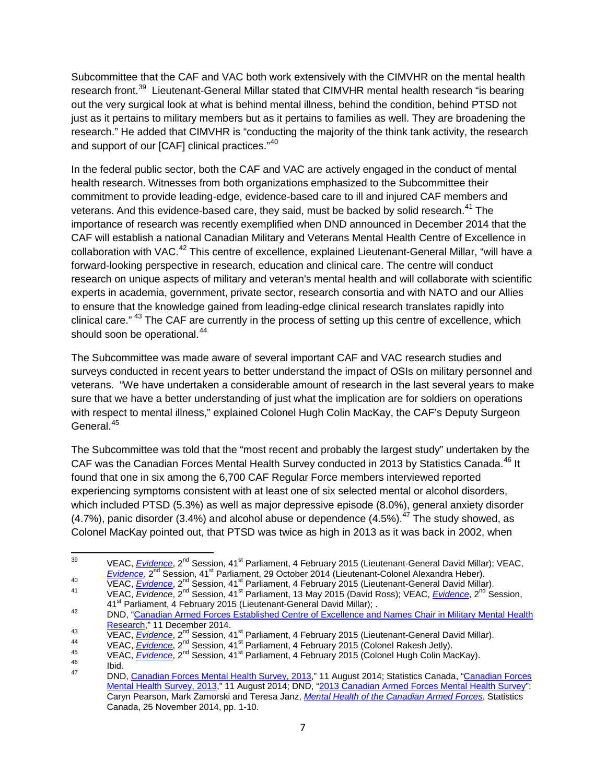Subcommittee that the CAF and VAC both work extensively with the CIMVHR on the mental health research front.<sup>39</sup> Lieutenant-General Millar stated that CIMVHR mental health research "is bearing out the very surgical look at what is behind mental illness, behind the condition, behind PTSD not just as it pertains to military members but as it pertains to families as well. They are broadening the research." He added that CIMVHR is "conducting the majority of the think tank activity, the research and support of our [CAF] clinical practices."[40](#page-12-1)

In the federal public sector, both the CAF and VAC are actively engaged in the conduct of mental health research. Witnesses from both organizations emphasized to the Subcommittee their commitment to provide leading-edge, evidence-based care to ill and injured CAF members and veterans. And this evidence-based care, they said, must be backed by solid research.<sup>[41](#page-12-2)</sup> The importance of research was recently exemplified when DND announced in December 2014 that the CAF will establish a national Canadian Military and Veterans Mental Health Centre of Excellence in collaboration with VAC.<sup>[42](#page-12-3)</sup> This centre of excellence, explained Lieutenant-General Millar, "will have a forward-looking perspective in research, education and clinical care. The centre will conduct research on unique aspects of military and veteran's mental health and will collaborate with scientific experts in academia, government, private sector, research consortia and with NATO and our Allies to ensure that the knowledge gained from leading-edge clinical research translates rapidly into clinical care." <sup>[43](#page-12-4)</sup> The CAF are currently in the process of setting up this centre of excellence, which should soon be operational.<sup>[44](#page-12-5)</sup>

The Subcommittee was made aware of several important CAF and VAC research studies and surveys conducted in recent years to better understand the impact of OSIs on military personnel and veterans. "We have undertaken a considerable amount of research in the last several years to make sure that we have a better understanding of just what the implication are for soldiers on operations with respect to mental illness," explained Colonel Hugh Colin MacKay, the CAF's Deputy Surgeon General.[45](#page-12-6)

The Subcommittee was told that the "most recent and probably the largest study" undertaken by the CAF was the Canadian Forces Mental Health Survey conducted in 2013 by Statistics Canada.<sup>[46](#page-12-7)</sup> It found that one in six among the 6,700 CAF Regular Force members interviewed reported experiencing symptoms consistent with at least one of six selected mental or alcohol disorders, which included PTSD (5.3%) as well as major depressive episode (8.0%), general anxiety disorder  $(4.7%)$ , panic disorder  $(3.4%)$  and alcohol abuse or dependence  $(4.5%)$ .<sup>[47](#page-12-8)</sup> The study showed, as Colonel MacKay pointed out, that PTSD was twice as high in 2013 as it was back in 2002, when

<sup>39</sup> VEAC, *[Evidence](http://www.parl.gc.ca/Content/SEN/Committee/412/veac/pdf/09issue.pdf)*, 2<sup>nd</sup> Session, 41<sup>st</sup> Parliament, 4 February 2015 (Lieutenant-General David Millar); VEAC,

<span id="page-12-5"></span>

<span id="page-12-1"></span><span id="page-12-0"></span>For the C, <u>[Evidence](http://www.parl.gc.ca/Content/SEN/Committee/412/veac/pdf/09issue.pdf)</u>, 2<sup>nd</sup> Session, 41<sup>st</sup> Parliament, 4 February 2013 (Lieutenant-General David Millar), VEAC,<br> *Evidence*, 2<sup>nd</sup> Session, 41<sup>st</sup> Parliament, 29 October 2014 (Lieutenant-Colonel Alexandra Heber).<br>
VEAC,

<span id="page-12-3"></span><span id="page-12-2"></span><sup>42&</sup>lt;br>DND, "Canadian Armed Forces Established Centre of Excellence and Names Chair in Military Mental Health<br>Research," 11 December 2014.

<span id="page-12-4"></span>VEAC, *[Evidence](http://www.parl.gc.ca/Content/SEN/Committee/412/veac/pdf/09issue.pdf)*, 2<sup>nd</sup> Session, 41<sup>st</sup> Parliament, 4 February 2015 (Lieutenant-General David Millar).<br>
VEAC, *Evidence*, 2<sup>nd</sup> Session, 41<sup>st</sup> Parliament, 4 February 2015 (Colonel Rakesh Jetly).<br>
VEAC, *Evidence*, 2<sup>nd</sup>

<span id="page-12-6"></span>

<span id="page-12-8"></span><span id="page-12-7"></span>

[Mental Health Survey, 2013,](http://www.statcan.gc.ca/daily-quotidien/140811/dq140811a-eng.pdf)" 11 August 2014; DND, ["2013 Canadian Armed Forces Mental Health Survey"](http://www.forces.gc.ca/en/about-reports-pubs-health/caf-mental-health-survey.page); Caryn Pearson, Mark Zamorski and Teresa Janz, *[Mental Health of the Canadian Armed Forces](http://www.statcan.gc.ca/pub/82-624-x/2014001/article/14121-eng.pdf)*, Statistics Canada, 25 November 2014, pp. 1-10.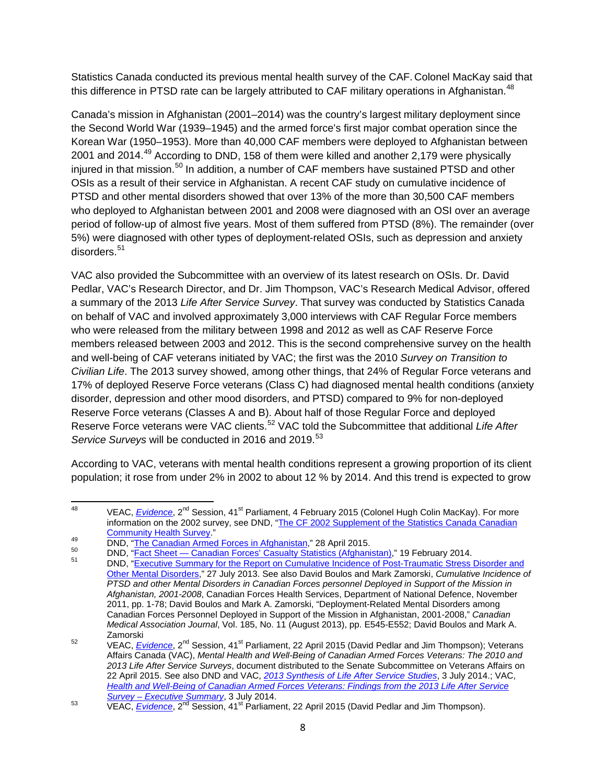Statistics Canada conducted its previous mental health survey of the CAF. Colonel MacKay said that this difference in PTSD rate can be largely attributed to CAF military operations in Afghanistan.<sup>[48](#page-13-0)</sup>

Canada's mission in Afghanistan (2001–2014) was the country's largest military deployment since the Second World War (1939–1945) and the armed force's first major combat operation since the Korean War (1950–1953). More than 40,000 CAF members were deployed to Afghanistan between 2001 and 2014.<sup>[49](#page-13-1)</sup> According to DND, 158 of them were killed and another 2,179 were physically injured in that mission.<sup>[50](#page-13-2)</sup> In addition, a number of CAF members have sustained PTSD and other OSIs as a result of their service in Afghanistan. A recent CAF study on cumulative incidence of PTSD and other mental disorders showed that over 13% of the more than 30,500 CAF members who deployed to Afghanistan between 2001 and 2008 were diagnosed with an OSI over an average period of follow-up of almost five years. Most of them suffered from PTSD (8%). The remainder (over 5%) were diagnosed with other types of deployment-related OSIs, such as depression and anxiety disorders<sup>[51](#page-13-3)</sup>

VAC also provided the Subcommittee with an overview of its latest research on OSIs. Dr. David Pedlar, VAC's Research Director, and Dr. Jim Thompson, VAC's Research Medical Advisor, offered a summary of the 2013 *Life After Service Survey*. That survey was conducted by Statistics Canada on behalf of VAC and involved approximately 3,000 interviews with CAF Regular Force members who were released from the military between 1998 and 2012 as well as CAF Reserve Force members released between 2003 and 2012. This is the second comprehensive survey on the health and well-being of CAF veterans initiated by VAC; the first was the 2010 *Survey on Transition to Civilian Life*. The 2013 survey showed, among other things, that 24% of Regular Force veterans and 17% of deployed Reserve Force veterans (Class C) had diagnosed mental health conditions (anxiety disorder, depression and other mood disorders, and PTSD) compared to 9% for non-deployed Reserve Force veterans (Classes A and B). About half of those Regular Force and deployed Reserve Force veterans were VAC clients.[52](#page-13-4) VAC told the Subcommittee that additional *Life After Service Surveys* will be conducted in 2016 and 2019.<sup>[53](#page-13-5)</sup>

According to VAC, veterans with mental health conditions represent a growing proportion of its client population; it rose from under 2% in 2002 to about 12 % by 2014. And this trend is expected to grow

<span id="page-13-0"></span><sup>&</sup>lt;sup>48</sup> VEAC, *[Evidence](http://www.parl.gc.ca/Content/SEN/Committee/412/veac/pdf/09issue.pdf)*, 2<sup>nd</sup> Session, 41<sup>st</sup> Parliament, 4 February 2015 (Colonel Hugh Colin MacKay). For more information on the 2002 survey, see DND, "The CF 2002 Supplement of the Statistics Canada Canadian<br>Community Health Survey."

<span id="page-13-3"></span>

<span id="page-13-2"></span><span id="page-13-1"></span>FREE CONDINGTITY CONSIST AT A SUPPORT 2015.<br>
DND, "<u>The Canadian Armed Forces' asualty Statistics (Afghanistan)</u>," 19 February 2014.<br>
DND, "<u>Executive Summary for the Report on Cumulative Incidence of Post-Traumatic Stress</u> [Other Mental Disorders,](http://www.forces.gc.ca/en/about-reports-pubs-health/cumulative-incidents-exec-summary.page?)" 27 July 2013. See also David Boulos and Mark Zamorski, *Cumulative Incidence of PTSD and other Mental Disorders in Canadian Forces personnel Deployed in Support of the Mission in Afghanistan, 2001-2008*, Canadian Forces Health Services, Department of National Defence, November 2011, pp. 1-78; David Boulos and Mark A. Zamorski, "Deployment-Related Mental Disorders among Canadian Forces Personnel Deployed in Support of the Mission in Afghanistan, 2001-2008," *Canadian Medical Association Journal*, Vol. 185, No. 11 (August 2013), pp. E545-E552; David Boulos and Mark A.

<span id="page-13-4"></span>Zamorski <sup>52</sup> VEAC, *[Evidence](http://www.parl.gc.ca/Content/SEN/Committee/412/veac/52052-e.htm?Language=E&Parl=41&Ses=2&comm_id=79)*, 2nd Session, 41st Parliament, 22 April 2015 (David Pedlar and Jim Thompson); Veterans Affairs Canada (VAC), *Mental Health and Well-Being of Canadian Armed Forces Veterans: The 2010 and 2013 Life After Service Surveys*, document distributed to the Senate Subcommittee on Veterans Affairs on 22 April 2015. See also DND and VAC, *[2013 Synthesis of Life After Service Studies](http://www.veterans.gc.ca/pdf/about-us/research-directorate/2013-life-after-service-studies.pdf)*, 3 July 2014.; VAC, *[Health and Well-Being of Canadian Armed Forces Veterans: Findings from the 2013 Life After Service](http://www.veterans.gc.ca/pdf/about-us/research-directorate/2013-survey-caf-health.pdf)* 

<span id="page-13-5"></span>*Survey – [Executive Summary](http://www.veterans.gc.ca/pdf/about-us/research-directorate/2013-survey-caf-health.pdf)*, 3 July 2014. <sup>53</sup> VEAC, *[Evidence](http://www.parl.gc.ca/Content/SEN/Committee/412/veac/52052-e.htm?Language=E&Parl=41&Ses=2&comm_id=79)*, 2nd Session, 41st Parliament, 22 April 2015 (David Pedlar and Jim Thompson).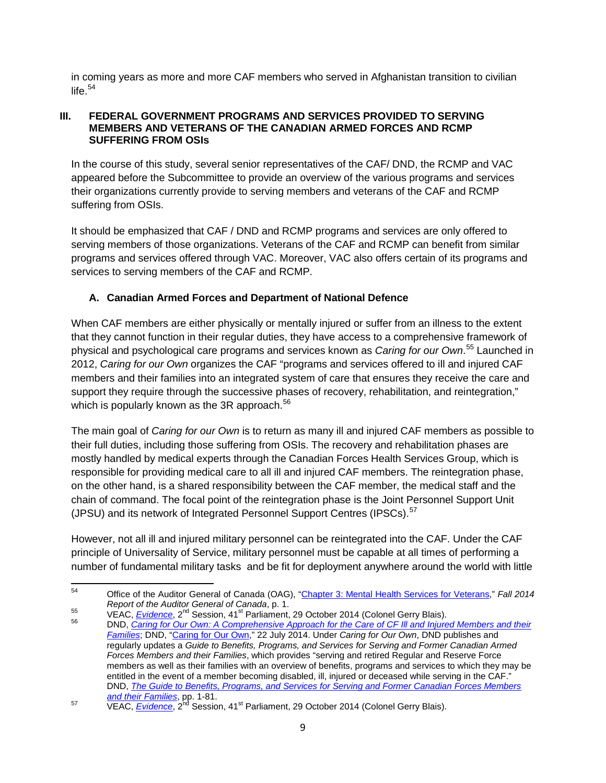in coming years as more and more CAF members who served in Afghanistan transition to civilian life. $54$ 

#### <span id="page-14-0"></span>**III. FEDERAL GOVERNMENT PROGRAMS AND SERVICES PROVIDED TO SERVING MEMBERS AND VETERANS OF THE CANADIAN ARMED FORCES AND RCMP SUFFERING FROM OSIs**

In the course of this study, several senior representatives of the CAF/ DND, the RCMP and VAC appeared before the Subcommittee to provide an overview of the various programs and services their organizations currently provide to serving members and veterans of the CAF and RCMP suffering from OSIs.

It should be emphasized that CAF / DND and RCMP programs and services are only offered to serving members of those organizations. Veterans of the CAF and RCMP can benefit from similar programs and services offered through VAC. Moreover, VAC also offers certain of its programs and services to serving members of the CAF and RCMP.

#### <span id="page-14-1"></span>**A. Canadian Armed Forces and Department of National Defence**

When CAF members are either physically or mentally injured or suffer from an illness to the extent that they cannot function in their regular duties, they have access to a comprehensive framework of physical and psychological care programs and services known as *Caring for our Own*. [55](#page-14-3) Launched in 2012, *Caring for our Own* organizes the CAF "programs and services offered to ill and injured CAF members and their families into an integrated system of care that ensures they receive the care and support they require through the successive phases of recovery, rehabilitation, and reintegration," which is popularly known as the 3R approach. $56$ 

The main goal of *Caring for our Own* is to return as many ill and injured CAF members as possible to their full duties, including those suffering from OSIs. The recovery and rehabilitation phases are mostly handled by medical experts through the Canadian Forces Health Services Group, which is responsible for providing medical care to all ill and injured CAF members. The reintegration phase, on the other hand, is a shared responsibility between the CAF member, the medical staff and the chain of command. The focal point of the reintegration phase is the Joint Personnel Support Unit (JPSU) and its network of Integrated Personnel Support Centres (IPSCs).<sup>[57](#page-14-5)</sup>

However, not all ill and injured military personnel can be reintegrated into the CAF. Under the CAF principle of Universality of Service, military personnel must be capable at all times of performing a number of fundamental military tasks and be fit for deployment anywhere around the world with little

<span id="page-14-2"></span><sup>54</sup> Office of the Auditor General of Canada (OAG), ["Chapter 3: Mental Health Services for Veterans,](http://www.oag-bvg.gc.ca/internet/docs/parl_oag_201411_03_e.pdf)" *Fall 2014* 

<span id="page-14-4"></span><span id="page-14-3"></span><sup>&</sup>lt;sup>55</sup><br><sup>56</sup> VEAC, *[Evidence](http://www.parl.gc.ca/Content/SEN/Committee/412/veac/pdf/08issue.pdf)*, 2<sup>nd</sup> Session, 41<sup>st</sup> Parliament, 29 October 2014 (Colonel Gerry Blais).<br><sup>56</sup> DND, *Caring for Our Own: A Comprehensive Approach for the Care of CF III and Injured Members and their [Families](http://www.forces.gc.ca/assets/FORCES_Internet/docs/en/caring-for-our-own_2.pdf)*; DND, ["Caring for Our Own,](http://news.gc.ca/web/article-en.do?nid=869499)" 22 July 2014. Under *Caring for Our Own*, DND publishes and regularly updates a *Guide to Benefits, Programs, and Services for Serving and Former Canadian Armed Forces Members and their Families*, which provides "serving and retired Regular and Reserve Force members as well as their families with an overview of benefits, programs and services to which they may be entitled in the event of a member becoming disabled, ill, injured or deceased while serving in the CAF." DND, *[The Guide to Benefits, Programs, and Services for Serving and Former Canadian Forces Members](http://www.forces.gc.ca/assets/FORCES_Internet/docs/en/caf-community-benefits-ill-injured-deceased/guide-eng.pdf)* 

<span id="page-14-5"></span>*[and their Families](http://www.forces.gc.ca/assets/FORCES_Internet/docs/en/caf-community-benefits-ill-injured-deceased/guide-eng.pdf)*, pp. 1-81.<br>VEAC, *[Evidence](http://www.parl.gc.ca/Content/SEN/Committee/412/veac/pdf/08issue.pdf)*, 2<sup>nd</sup> Session, 41<sup>st</sup> Parliament, 29 October 2014 (Colonel Gerry Blais).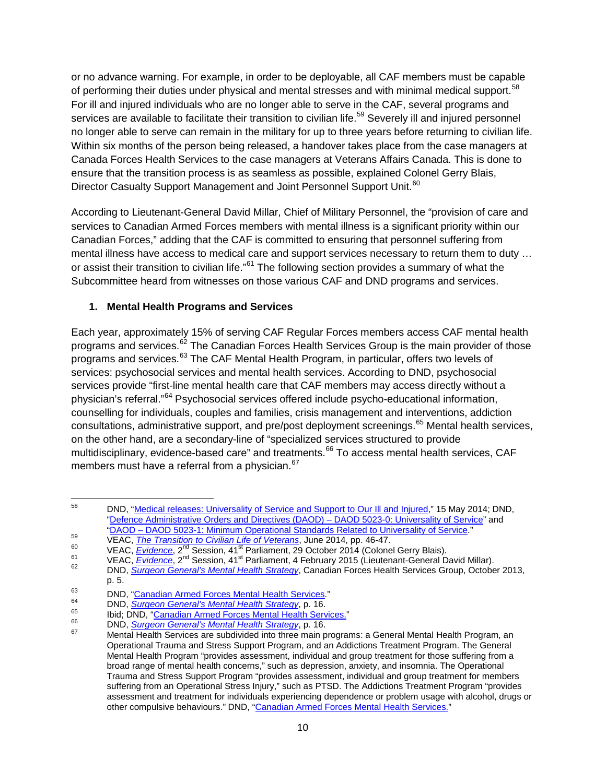or no advance warning. For example, in order to be deployable, all CAF members must be capable of performing their duties under physical and mental stresses and with minimal medical support.<sup>[58](#page-15-1)</sup> For ill and injured individuals who are no longer able to serve in the CAF, several programs and services are available to facilitate their transition to civilian life.<sup>[59](#page-15-2)</sup> Severely ill and injured personnel no longer able to serve can remain in the military for up to three years before returning to civilian life. Within six months of the person being released, a handover takes place from the case managers at Canada Forces Health Services to the case managers at Veterans Affairs Canada. This is done to ensure that the transition process is as seamless as possible, explained Colonel Gerry Blais, Director Casualty Support Management and Joint Personnel Support Unit.<sup>[60](#page-15-3)</sup>

According to Lieutenant-General David Millar, Chief of Military Personnel, the "provision of care and services to Canadian Armed Forces members with mental illness is a significant priority within our Canadian Forces," adding that the CAF is committed to ensuring that personnel suffering from mental illness have access to medical care and support services necessary to return them to duty … or assist their transition to civilian life."<sup>[61](#page-15-4)</sup> The following section provides a summary of what the Subcommittee heard from witnesses on those various CAF and DND programs and services.

#### <span id="page-15-0"></span>**1. Mental Health Programs and Services**

Each year, approximately 15% of serving CAF Regular Forces members access CAF mental health programs and services.<sup>[62](#page-15-5)</sup> The Canadian Forces Health Services Group is the main provider of those programs and services.<sup>[63](#page-15-6)</sup> The CAF Mental Health Program, in particular, offers two levels of services: psychosocial services and mental health services. According to DND, psychosocial services provide "first-line mental health care that CAF members may access directly without a physician's referral."[64](#page-15-7) Psychosocial services offered include psycho-educational information, counselling for individuals, couples and families, crisis management and interventions, addiction consultations, administrative support, and pre/post deployment screenings.<sup>[65](#page-15-8)</sup> Mental health services, on the other hand, are a secondary-line of "specialized services structured to provide multidisciplinary, evidence-based care" and treatments.<sup>[66](#page-15-9)</sup> To access mental health services. CAF members must have a referral from a physician.<sup>[67](#page-15-10)</sup>

<span id="page-15-1"></span><sup>58</sup> DND, ["Medical releases: Universality of Service and Support to Our Ill and Injured,](http://news.gc.ca/web/article-en.do?nid=848259)" 15 May 2014; DND, ["Defence Administrative Orders and Directives \(DAOD\) –](http://www.forces.gc.ca/en/about-policies-standards-defence-admin-orders-directives-5000/5023-0.page) DAOD 5023-0: Universality of Service" and<br>"DAOD – DAOD 5023-1: Minimum Operational Standards Related to Universality of Service."

<span id="page-15-3"></span>

<span id="page-15-5"></span><span id="page-15-4"></span>

<span id="page-15-2"></span><sup>&</sup>lt;sup>59</sup><br>
VEAC, *[The Transition to Civilian Life of Veterans](http://www.parl.gc.ca/Content/SEN/Committee/412/secd/rep/rep08jun14-e.pdf)*, June 2014, pp. 46-47.<br>
VEAC, *[Evidence](http://www.parl.gc.ca/Content/SEN/Committee/412/veac/pdf/09issue.pdf)*, 2<sup>nd</sup> Session, 41<sup>st</sup> Parliament, 29 October 2014 (Colonel Gerry Blais).<br>
VEAC, *Evidence*, 2<sup>nd</sup> Session, 41<sup>st</sup> Parliame p. 5.

<span id="page-15-10"></span><span id="page-15-9"></span><span id="page-15-8"></span>

<span id="page-15-7"></span><span id="page-15-6"></span><sup>&</sup>lt;sup>63</sup><br>
DND, <u>"Canadian Armed Forces Mental Health Services</u>."<br>
DND, <u>Surgeon General's Mental Health Strategy</u>, p. 16.<br>
<sup>65</sup><br>
bid; DND, <u>["Canadian Armed Forces Mental Health Services.](http://www.forces.gc.ca/en/caf-community-health-services-mental/index.page?#otssc)</u>"<br>
DND, Surgeon General's Mental Health Operational Trauma and Stress Support Program, and an Addictions Treatment Program. The General Mental Health Program "provides assessment, individual and group treatment for those suffering from a broad range of mental health concerns," such as depression, anxiety, and insomnia. The Operational Trauma and Stress Support Program "provides assessment, individual and group treatment for members suffering from an Operational Stress Injury," such as PTSD. The Addictions Treatment Program "provides assessment and treatment for individuals experiencing dependence or problem usage with alcohol, drugs or other compulsive behaviours." DND, ["Canadian Armed Forces Mental Health Services.](http://www.forces.gc.ca/en/caf-community-health-services-mental/index.page?#otssc)"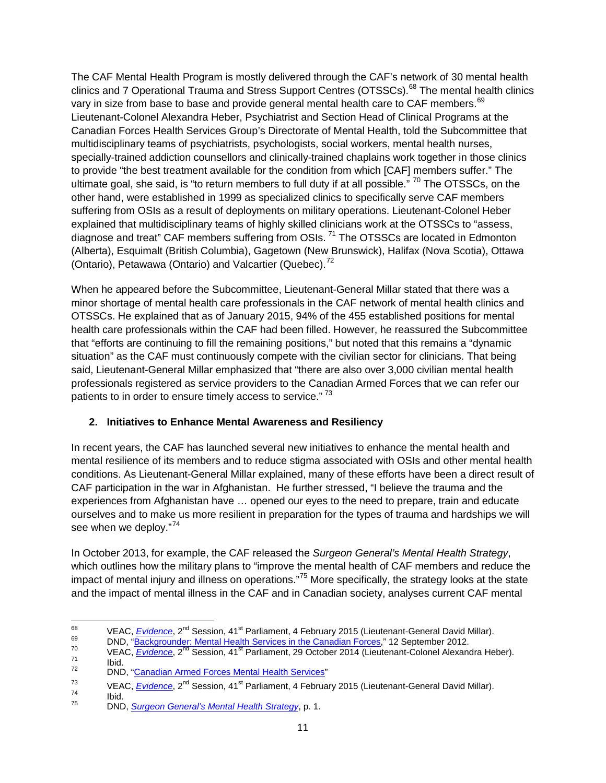The CAF Mental Health Program is mostly delivered through the CAF's network of 30 mental health clinics and 7 Operational Trauma and Stress Support Centres (OTSSCs).<sup>[68](#page-16-1)</sup> The mental health clinics vary in size from base to base and provide general mental health care to CAF members.<sup>[69](#page-16-2)</sup> Lieutenant-Colonel Alexandra Heber, Psychiatrist and Section Head of Clinical Programs at the Canadian Forces Health Services Group's Directorate of Mental Health, told the Subcommittee that multidisciplinary teams of psychiatrists, psychologists, social workers, mental health nurses, specially-trained addiction counsellors and clinically-trained chaplains work together in those clinics to provide "the best treatment available for the condition from which [CAF] members suffer." The ultimate goal, she said, is "to return members to full duty if at all possible."  $70$  The OTSSCs, on the other hand, were established in 1999 as specialized clinics to specifically serve CAF members suffering from OSIs as a result of deployments on military operations. Lieutenant-Colonel Heber explained that multidisciplinary teams of highly skilled clinicians work at the OTSSCs to "assess, diagnose and treat" CAF members suffering from OSIs.<sup>[71](#page-16-4)</sup> The OTSSCs are located in Edmonton (Alberta), Esquimalt (British Columbia), Gagetown (New Brunswick), Halifax (Nova Scotia), Ottawa (Ontario), Petawawa (Ontario) and Valcartier (Quebec).<sup>[72](#page-16-5)</sup>

When he appeared before the Subcommittee, Lieutenant-General Millar stated that there was a minor shortage of mental health care professionals in the CAF network of mental health clinics and OTSSCs. He explained that as of January 2015, 94% of the 455 established positions for mental health care professionals within the CAF had been filled. However, he reassured the Subcommittee that "efforts are continuing to fill the remaining positions," but noted that this remains a "dynamic situation" as the CAF must continuously compete with the civilian sector for clinicians. That being said, Lieutenant-General Millar emphasized that "there are also over 3,000 civilian mental health professionals registered as service providers to the Canadian Armed Forces that we can refer our patients to in order to ensure timely access to service."<sup>[73](#page-16-6)</sup>

#### <span id="page-16-0"></span>**2. Initiatives to Enhance Mental Awareness and Resiliency**

In recent years, the CAF has launched several new initiatives to enhance the mental health and mental resilience of its members and to reduce stigma associated with OSIs and other mental health conditions. As Lieutenant-General Millar explained, many of these efforts have been a direct result of CAF participation in the war in Afghanistan. He further stressed, "I believe the trauma and the experiences from Afghanistan have … opened our eyes to the need to prepare, train and educate ourselves and to make us more resilient in preparation for the types of trauma and hardships we will see when we deploy."<sup>[74](#page-16-7)</sup>

In October 2013, for example, the CAF released the *Surgeon General's Mental Health Strategy*, which outlines how the military plans to "improve the mental health of CAF members and reduce the impact of mental injury and illness on operations."[75](#page-16-8) More specifically, the strategy looks at the state and the impact of mental illness in the CAF and in Canadian society, analyses current CAF mental

<span id="page-16-3"></span><span id="page-16-2"></span>

<span id="page-16-1"></span><sup>&</sup>lt;sup>68</sup><br>
VEAC, <u>[Evidence](http://www.parl.gc.ca/Content/SEN/Committee/412/veac/pdf/08issue.pdf)</u>, 2<sup>nd</sup> Session, 41<sup>st</sup> Parliament, 4 February 2015 (Lieutenant-General David Millar).<br>
DND, "<u>Backgrounder: Mental Health Services in the Canadian Forces</u>," 12 September 2012.<br>
VEAC, <u>Evidence</u>, 2<sup>n</sup>

<span id="page-16-5"></span><span id="page-16-4"></span>

<span id="page-16-6"></span><sup>&</sup>lt;sup>73</sup> VEAC, *<u>[Evidence](http://www.parl.gc.ca/Content/SEN/Committee/412/veac/pdf/09issue.pdf)</u>*, 2<sup>nd</sup> Session, 41<sup>st</sup> Parliament, 4 February 2015 (Lieutenant-General David Millar).<br>
15 DND, *[Surgeon General's Mental Health Strategy](http://www.forces.gc.ca/assets/FORCES_Internet/docs/en/about-reports-pubs-health/surg-gen-mental-health-strategy.pdf)*, p. 1.

<span id="page-16-8"></span><span id="page-16-7"></span>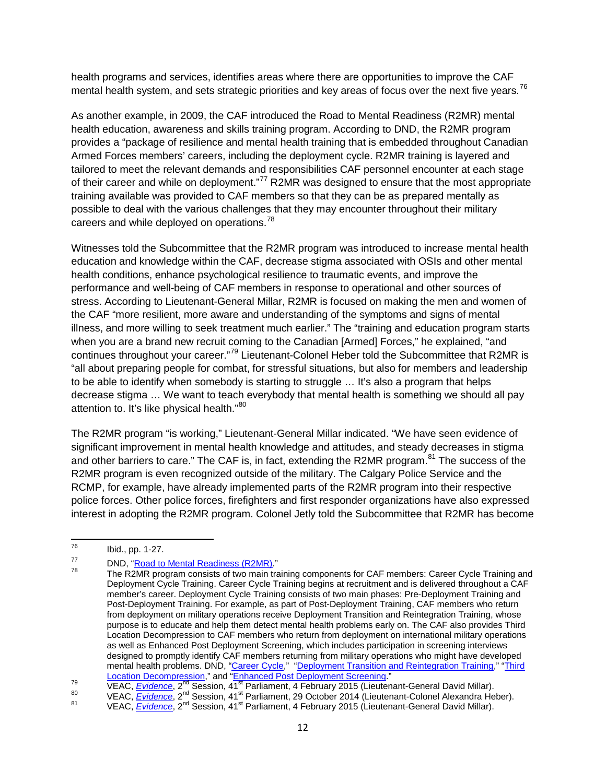health programs and services, identifies areas where there are opportunities to improve the CAF mental health system, and sets strategic priorities and key areas of focus over the next five years.  $^{76}$  $^{76}$  $^{76}$ 

As another example, in 2009, the CAF introduced the Road to Mental Readiness (R2MR) mental health education, awareness and skills training program. According to DND, the R2MR program provides a "package of resilience and mental health training that is embedded throughout Canadian Armed Forces members' careers, including the deployment cycle. R2MR training is layered and tailored to meet the relevant demands and responsibilities CAF personnel encounter at each stage of their career and while on deployment."<sup>[77](#page-17-1)</sup> R2MR was designed to ensure that the most appropriate training available was provided to CAF members so that they can be as prepared mentally as possible to deal with the various challenges that they may encounter throughout their military careers and while deployed on operations.<sup>[78](#page-17-2)</sup>

Witnesses told the Subcommittee that the R2MR program was introduced to increase mental health education and knowledge within the CAF, decrease stigma associated with OSIs and other mental health conditions, enhance psychological resilience to traumatic events, and improve the performance and well-being of CAF members in response to operational and other sources of stress. According to Lieutenant-General Millar, R2MR is focused on making the men and women of the CAF "more resilient, more aware and understanding of the symptoms and signs of mental illness, and more willing to seek treatment much earlier." The "training and education program starts when you are a brand new recruit coming to the Canadian [Armed] Forces," he explained, "and continues throughout your career."<sup>[79](#page-17-3)</sup> Lieutenant-Colonel Heber told the Subcommittee that R2MR is "all about preparing people for combat, for stressful situations, but also for members and leadership to be able to identify when somebody is starting to struggle … It's also a program that helps decrease stigma … We want to teach everybody that mental health is something we should all pay attention to. It's like physical health."<sup>80</sup>

The R2MR program "is working," Lieutenant-General Millar indicated. "We have seen evidence of significant improvement in mental health knowledge and attitudes, and steady decreases in stigma and other barriers to care." The CAF is, in fact, extending the R2MR program.<sup>[81](#page-17-5)</sup> The success of the R2MR program is even recognized outside of the military. The Calgary Police Service and the RCMP, for example, have already implemented parts of the R2MR program into their respective police forces. Other police forces, firefighters and first responder organizations have also expressed interest in adopting the R2MR program. Colonel Jetly told the Subcommittee that R2MR has become

<span id="page-17-0"></span> $^{76}$  Ibid., pp. 1-27.

<span id="page-17-2"></span><span id="page-17-1"></span><sup>77</sup> DND, ["Road to Mental Readiness \(R2MR\)."](http://www.forces.gc.ca/en/caf-community-health-services-r2mr/index.page?)<br><sup>78</sup> The R2MR program consists of two main training components for CAF members: Career Cycle Training and Deployment Cycle Training. Career Cycle Training begins at recruitment and is delivered throughout a CAF member's career. Deployment Cycle Training consists of two main phases: Pre-Deployment Training and Post-Deployment Training. For example, as part of Post-Deployment Training, CAF members who return from deployment on military operations receive Deployment Transition and Reintegration Training, whose purpose is to educate and help them detect mental health problems early on. The CAF also provides Third Location Decompression to CAF members who return from deployment on international military operations as well as Enhanced Post Deployment Screening, which includes participation in screening interviews designed to promptly identify CAF members returning from military operations who might have developed mental health problems. DND, ["Career Cycle,](http://www.forces.gc.ca/en/caf-community-health-services-r2mr-career/index.page?)" ["Deployment Transition and Reintegration Training,](http://www.forces.gc.ca/en/caf-community-health-services-r2mr-deployment/transition-reintegration-trng.page?)" "Third

<span id="page-17-3"></span><sup>&</sup>lt;u>Location Decompression</u>," and "<u>Enhanced Post Deployment Screening</u>."<br>VEAC, <u>*[Evidence](http://www.parl.gc.ca/Content/SEN/Committee/412/veac/pdf/09issue.pdf)*, 2<sup>nd</sup> Session, 41<sup>st</sup> Parliament, 4 February 2015 (Lieutenant-General David Millar).<br><sup>80</sup> VEAC, <u>*Evidence*,</u> 2<sup>nd</sup> Session, 41<sup>st</sup> </u>

<span id="page-17-5"></span><span id="page-17-4"></span>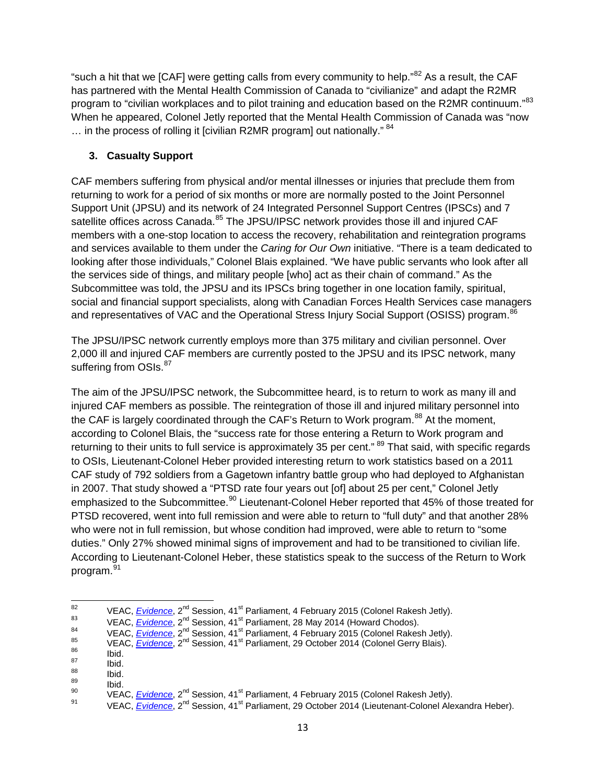"such a hit that we [CAF] were getting calls from every community to help."<sup>[82](#page-18-1)</sup> As a result, the CAF has partnered with the Mental Health Commission of Canada to "civilianize" and adapt the R2MR program to "civilian workplaces and to pilot training and education based on the R2MR continuum."<sup>[83](#page-18-2)</sup> When he appeared, Colonel Jetly reported that the Mental Health Commission of Canada was "now  $\ldots$  in the process of rolling it [civilian R2MR program] out nationally."  $84$ 

#### <span id="page-18-0"></span>**3. Casualty Support**

CAF members suffering from physical and/or mental illnesses or injuries that preclude them from returning to work for a period of six months or more are normally posted to the Joint Personnel Support Unit (JPSU) and its network of 24 Integrated Personnel Support Centres (IPSCs) and 7 satellite offices across Canada.<sup>[85](#page-18-4)</sup> The JPSU/IPSC network provides those ill and injured CAF members with a one-stop location to access the recovery, rehabilitation and reintegration programs and services available to them under the *Caring for Our Own* initiative. "There is a team dedicated to looking after those individuals," Colonel Blais explained. "We have public servants who look after all the services side of things, and military people [who] act as their chain of command." As the Subcommittee was told, the JPSU and its IPSCs bring together in one location family, spiritual, social and financial support specialists, along with Canadian Forces Health Services case managers and representatives of VAC and the Operational Stress Injury Social Support (OSISS) program.<sup>[86](#page-18-5)</sup>

The JPSU/IPSC network currently employs more than 375 military and civilian personnel. Over 2,000 ill and injured CAF members are currently posted to the JPSU and its IPSC network, many suffering from OSIs.<sup>[87](#page-18-6)</sup>

The aim of the JPSU/IPSC network, the Subcommittee heard, is to return to work as many ill and injured CAF members as possible. The reintegration of those ill and injured military personnel into the CAF is largely coordinated through the CAF's Return to Work program.<sup>[88](#page-18-7)</sup> At the moment, according to Colonel Blais, the "success rate for those entering a Return to Work program and returning to their units to full service is approximately 35 per cent." <sup>[89](#page-18-8)</sup> That said, with specific regards to OSIs, Lieutenant-Colonel Heber provided interesting return to work statistics based on a 2011 CAF study of 792 soldiers from a Gagetown infantry battle group who had deployed to Afghanistan in 2007. That study showed a "PTSD rate four years out [of] about 25 per cent," Colonel Jetly emphasized to the Subcommittee.<sup>[90](#page-18-9)</sup> Lieutenant-Colonel Heber reported that 45% of those treated for PTSD recovered, went into full remission and were able to return to "full duty" and that another 28% who were not in full remission, but whose condition had improved, were able to return to "some duties." Only 27% showed minimal signs of improvement and had to be transitioned to civilian life. According to Lieutenant-Colonel Heber, these statistics speak to the success of the Return to Work program.[91](#page-18-10)

<span id="page-18-4"></span><span id="page-18-3"></span><span id="page-18-2"></span>

<span id="page-18-6"></span><span id="page-18-5"></span>

<span id="page-18-8"></span><span id="page-18-7"></span>

<span id="page-18-10"></span><span id="page-18-9"></span>

<span id="page-18-1"></span><sup>&</sup>lt;sup>82</sup><br>
VEAC, <u>[Evidence](http://www.parl.gc.ca/Content/SEN/Committee/412/veac/pdf/08issue.pdf)</u>, 2<sup>nd</sup> Session, 41<sup>st</sup> Parliament, 4 February 2015 (Colonel Rakesh Jetly).<br>
VEAC, <u>Evidence</u>, 2<sup>nd</sup> Session, 41<sup>st</sup> Parliament, 28 May 2014 (Howard Chodos).<br>
VEAC, <u>Evidence</u>, 2<sup>nd</sup> Session, 41<sup>st</sup>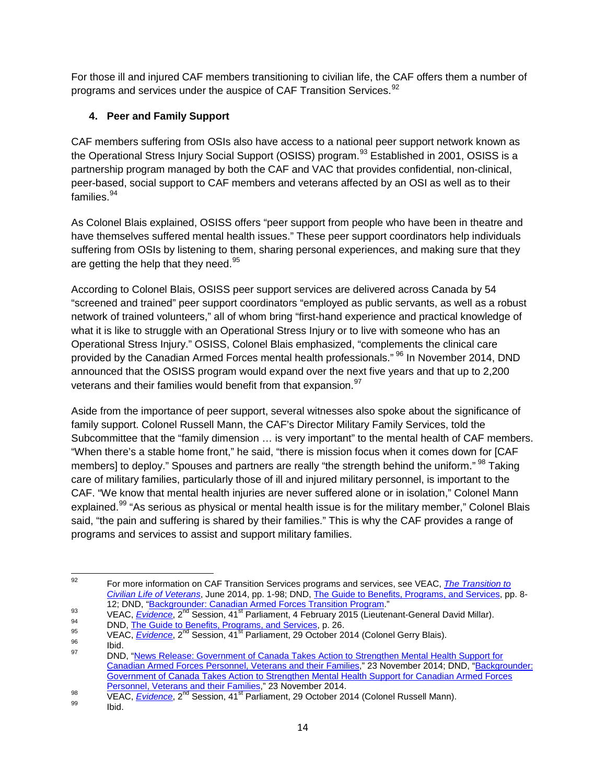For those ill and injured CAF members transitioning to civilian life, the CAF offers them a number of programs and services under the auspice of CAF Transition Services.<sup>[92](#page-19-1)</sup>

## <span id="page-19-0"></span>**4. Peer and Family Support**

CAF members suffering from OSIs also have access to a national peer support network known as the Operational Stress Injury Social Support (OSISS) program.<sup>[93](#page-19-2)</sup> Established in 2001, OSISS is a partnership program managed by both the CAF and VAC that provides confidential, non-clinical, peer-based, social support to CAF members and veterans affected by an OSI as well as to their families.<sup>[94](#page-19-3)</sup>

As Colonel Blais explained, OSISS offers "peer support from people who have been in theatre and have themselves suffered mental health issues." These peer support coordinators help individuals suffering from OSIs by listening to them, sharing personal experiences, and making sure that they are getting the help that they need.<sup>[95](#page-19-4)</sup>

According to Colonel Blais, OSISS peer support services are delivered across Canada by 54 "screened and trained" peer support coordinators "employed as public servants, as well as a robust network of trained volunteers," all of whom bring "first-hand experience and practical knowledge of what it is like to struggle with an Operational Stress Injury or to live with someone who has an Operational Stress Injury." OSISS, Colonel Blais emphasized, "complements the clinical care provided by the Canadian Armed Forces mental health professionals." <sup>[96](#page-19-5)</sup> In November 2014, DND announced that the OSISS program would expand over the next five years and that up to 2,200 veterans and their families would benefit from that expansion.<sup>97</sup>

Aside from the importance of peer support, several witnesses also spoke about the significance of family support. Colonel Russell Mann, the CAF's Director Military Family Services, told the Subcommittee that the "family dimension … is very important" to the mental health of CAF members. "When there's a stable home front," he said, "there is mission focus when it comes down for [CAF members] to deploy." Spouses and partners are really "the strength behind the uniform." <sup>[98](#page-19-7)</sup> Taking care of military families, particularly those of ill and injured military personnel, is important to the CAF. "We know that mental health injuries are never suffered alone or in isolation," Colonel Mann explained.<sup>[99](#page-19-8)</sup> "As serious as physical or mental health issue is for the military member," Colonel Blais said, "the pain and suffering is shared by their families." This is why the CAF provides a range of programs and services to assist and support military families.

<span id="page-19-1"></span><sup>92</sup> For more information on CAF Transition Services programs and services, see VEAC, *[The Transition to](http://www.parl.gc.ca/Content/SEN/Committee/412/secd/rep/rep08jun14-e.pdf)  [Civilian Life of Veterans](http://www.parl.gc.ca/Content/SEN/Committee/412/secd/rep/rep08jun14-e.pdf)*, June 2014, pp. 1-98; DND, [The Guide to Benefits, Programs, and Services,](http://www.forces.gc.ca/assets/FORCES_Internet/docs/en/caf-community-benefits-ill-injured-deceased/guide-eng.pdf) pp. 8-

<span id="page-19-2"></span>VEAC, <u>[Evidence](http://www.parl.gc.ca/Content/SEN/Committee/412/veac/pdf/08issue.pdf)</u>, 2<sup>nd</sup> Session, 41<sup>st</sup> Parliament, 4 February 2015 (Lieutenant-General David Millar).<br>
DND, <u>The Guide to Benefits, Programs, and Services</u>, p. 26.<br>
VEAC, Evidence, 2<sup>nd</sup> Session, 41<sup>st</sup> Parliament, 29 Oct

<span id="page-19-4"></span><span id="page-19-3"></span>

<span id="page-19-5"></span>

<span id="page-19-6"></span>[Canadian Armed Forces Personnel, Veterans and their Families,](http://news.gc.ca/web/article-en.do?mthd=tp&crtr.page=2&nid=907399&crtr.tp1D=1)" 23 November 2014; DND, ["Backgrounder:](http://news.gc.ca/web/article-en.do?mthd=index&crtr.page=1&nid=907379)  Government of Canada Takes Action to Strengthen Mental Health Support for Canadian Armed Forces<br>Personnel, Veterans and their Families," 23 November 2014.

<span id="page-19-8"></span><span id="page-19-7"></span>[Personnel, Veterans and their Families,](http://news.gc.ca/web/article-en.do?mthd=index&crtr.page=1&nid=907379)" 23 November 2014. [98](http://news.gc.ca/web/article-en.do?mthd=index&crtr.page=1&nid=907379) VEAC, *[Evidence](http://www.parl.gc.ca/Content/SEN/Committee/412/veac/pdf/08issue.pdf)*, 2nd Session, 41st Parliament, 29 October 2014 (Colonel Russell Mann). <sup>99</sup> Ibid.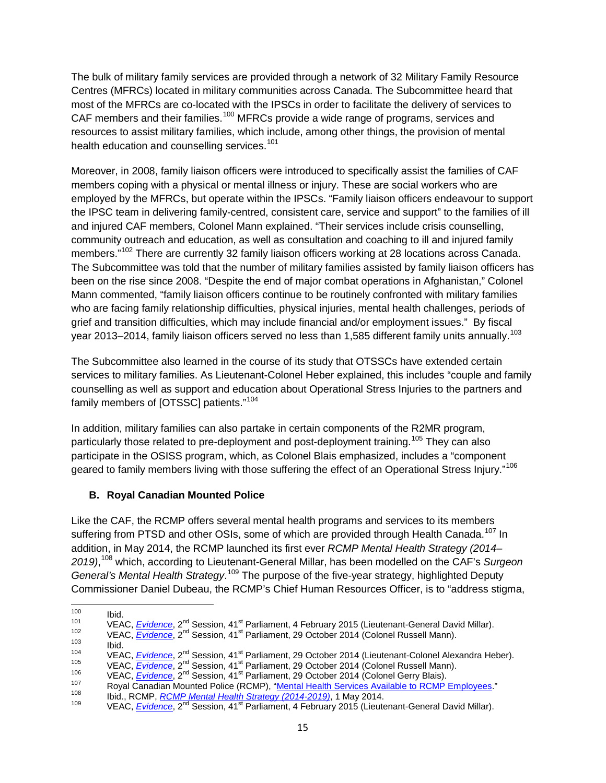The bulk of military family services are provided through a network of 32 Military Family Resource Centres (MFRCs) located in military communities across Canada. The Subcommittee heard that most of the MFRCs are co-located with the IPSCs in order to facilitate the delivery of services to CAF members and their families.<sup>[100](#page-20-1)</sup> MFRCs provide a wide range of programs, services and resources to assist military families, which include, among other things, the provision of mental health education and counselling services.<sup>[101](#page-20-2)</sup>

Moreover, in 2008, family liaison officers were introduced to specifically assist the families of CAF members coping with a physical or mental illness or injury. These are social workers who are employed by the MFRCs, but operate within the IPSCs. "Family liaison officers endeavour to support the IPSC team in delivering family-centred, consistent care, service and support" to the families of ill and injured CAF members, Colonel Mann explained. "Their services include crisis counselling, community outreach and education, as well as consultation and coaching to ill and injured family members."<sup>[102](#page-20-3)</sup> There are currently 32 family liaison officers working at 28 locations across Canada. The Subcommittee was told that the number of military families assisted by family liaison officers has been on the rise since 2008. "Despite the end of major combat operations in Afghanistan," Colonel Mann commented, "family liaison officers continue to be routinely confronted with military families who are facing family relationship difficulties, physical injuries, mental health challenges, periods of grief and transition difficulties, which may include financial and/or employment issues." By fiscal year 2013–2014, family liaison officers served no less than 1,585 different family units annually.<sup>[103](#page-20-4)</sup>

The Subcommittee also learned in the course of its study that OTSSCs have extended certain services to military families. As Lieutenant-Colonel Heber explained, this includes "couple and family counselling as well as support and education about Operational Stress Injuries to the partners and family members of [OTSSC] patients."[104](#page-20-5)

In addition, military families can also partake in certain components of the R2MR program, particularly those related to pre-deployment and post-deployment training.<sup>[105](#page-20-6)</sup> They can also participate in the OSISS program, which, as Colonel Blais emphasized, includes a "component geared to family members living with those suffering the effect of an Operational Stress Injury."<sup>[106](#page-20-7)</sup>

#### <span id="page-20-0"></span>**B. Royal Canadian Mounted Police**

Like the CAF, the RCMP offers several mental health programs and services to its members suffering from PTSD and other OSIs, some of which are provided through Health Canada.<sup>[107](#page-20-8)</sup> In addition, in May 2014, the RCMP launched its first ever *RCMP Mental Health Strategy (2014– 2019)*, [108](#page-20-9) which, according to Lieutenant-General Millar, has been modelled on the CAF's *Surgeon*  General's Mental Health Strategy.<sup>[109](#page-20-10)</sup> The purpose of the five-year strategy, highlighted Deputy Commissioner Daniel Dubeau, the RCMP's Chief Human Resources Officer, is to "address stigma,

<span id="page-20-2"></span>

<span id="page-20-3"></span>

<span id="page-20-4"></span>

<span id="page-20-5"></span>

<span id="page-20-7"></span><span id="page-20-6"></span>

<span id="page-20-8"></span>

<span id="page-20-1"></span><sup>100&</sup>lt;br>
101 VEAC, <u>[Evidence](http://www.parl.gc.ca/Content/SEN/Committee/412/veac/pdf/09issue.pdf)</u>, 2<sup>nd</sup> Session, 41<sup>st</sup> Parliament, 4 February 2015 (Lieutenant-General David Millar).<br>
102 VEAC, <u>Evidence</u>, 2<sup>nd</sup> Session, 41<sup>st</sup> Parliament, 29 October 2014 (Colonel Russell Mann).<br>
103 Ibid.<br>
1

<span id="page-20-10"></span><span id="page-20-9"></span>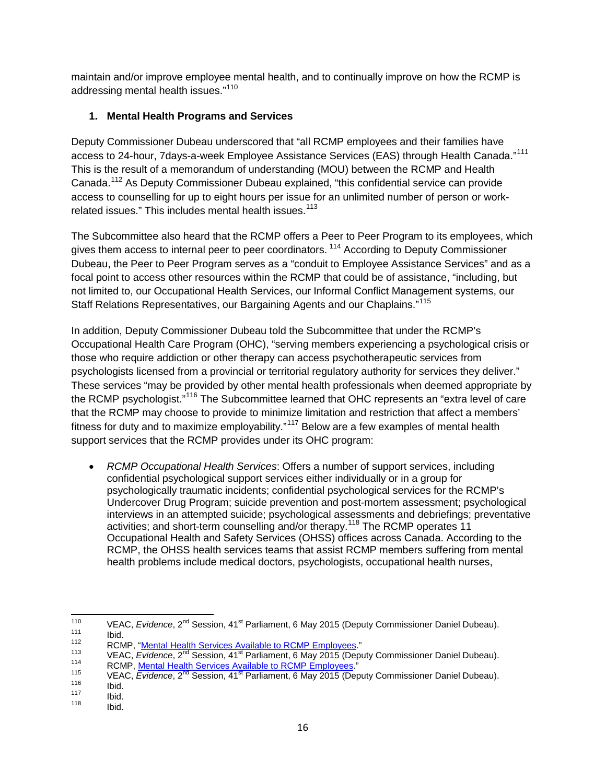maintain and/or improve employee mental health, and to continually improve on how the RCMP is addressing mental health issues."<sup>[110](#page-21-1)</sup>

#### <span id="page-21-0"></span>**1. Mental Health Programs and Services**

Deputy Commissioner Dubeau underscored that "all RCMP employees and their families have access to 24-hour, 7days-a-week Employee Assistance Services (EAS) through Health Canada."<sup>[111](#page-21-2)</sup> This is the result of a memorandum of understanding (MOU) between the RCMP and Health Canada.[112](#page-21-3) As Deputy Commissioner Dubeau explained, "this confidential service can provide access to counselling for up to eight hours per issue for an unlimited number of person or work-related issues." This includes mental health issues.<sup>[113](#page-21-4)</sup>

The Subcommittee also heard that the RCMP offers a Peer to Peer Program to its employees, which gives them access to internal peer to peer coordinators.<sup>[114](#page-21-5)</sup> According to Deputy Commissioner Dubeau, the Peer to Peer Program serves as a "conduit to Employee Assistance Services" and as a focal point to access other resources within the RCMP that could be of assistance, "including, but not limited to, our Occupational Health Services, our Informal Conflict Management systems, our Staff Relations Representatives, our Bargaining Agents and our Chaplains."<sup>[115](#page-21-6)</sup>

In addition, Deputy Commissioner Dubeau told the Subcommittee that under the RCMP's Occupational Health Care Program (OHC), "serving members experiencing a psychological crisis or those who require addiction or other therapy can access psychotherapeutic services from psychologists licensed from a provincial or territorial regulatory authority for services they deliver." These services "may be provided by other mental health professionals when deemed appropriate by the RCMP psychologist."<sup>[116](#page-21-7)</sup> The Subcommittee learned that OHC represents an "extra level of care that the RCMP may choose to provide to minimize limitation and restriction that affect a members' fitness for duty and to maximize employability."[117](#page-21-8) Below are a few examples of mental health support services that the RCMP provides under its OHC program:

• *RCMP Occupational Health Services*: Offers a number of support services, including confidential psychological support services either individually or in a group for psychologically traumatic incidents; confidential psychological services for the RCMP's Undercover Drug Program; suicide prevention and post-mortem assessment; psychological interviews in an attempted suicide; psychological assessments and debriefings; preventative activities; and short-term counselling and/or therapy. [118](#page-21-9) The RCMP operates 11 Occupational Health and Safety Services (OHSS) offices across Canada. According to the RCMP, the OHSS health services teams that assist RCMP members suffering from mental health problems include medical doctors, psychologists, occupational health nurses,

<span id="page-21-1"></span>VEAC, Evidence, 2<sup>nd</sup> Session, 41<sup>st</sup> Parliament, 6 May 2015 (Deputy Commissioner Daniel Dubeau).<br>
111<br>
112 RCMP, "<u>Mental Health Services Available to RCMP Employees.</u>"<br>
113 VEAC, Evidence, 2<sup>nd</sup> Session, 41<sup>st</sup> Parliamen

<span id="page-21-4"></span><span id="page-21-3"></span><span id="page-21-2"></span>

<span id="page-21-5"></span>

<span id="page-21-6"></span>

<span id="page-21-8"></span><span id="page-21-7"></span>

<span id="page-21-9"></span>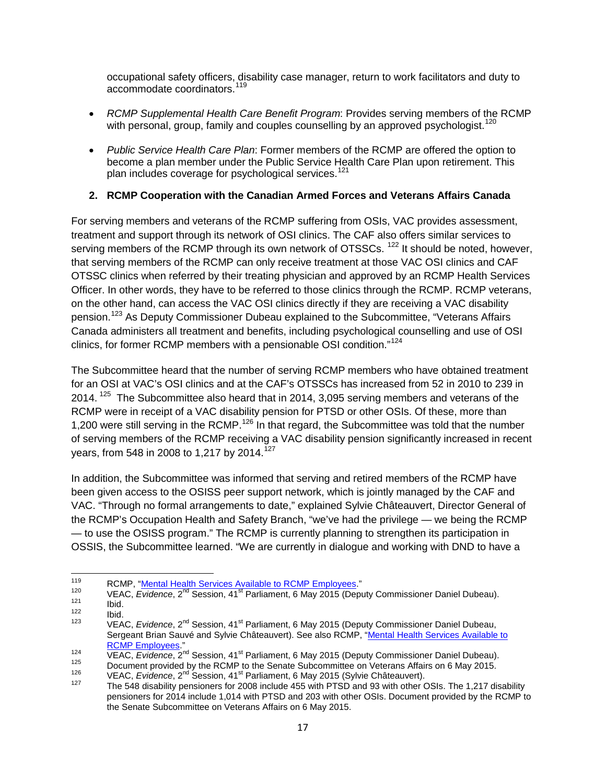occupational safety officers, disability case manager, return to work facilitators and duty to accommodate coordinators.<sup>[119](#page-22-1)</sup>

- *RCMP Supplemental Health Care Benefit Program*: Provides serving members of the RCMP with personal, group, family and couples counselling by an approved psychologist.<sup>[120](#page-22-2)</sup>
- *Public Service Health Care Plan*: Former members of the RCMP are offered the option to become a plan member under the Public Service Health Care Plan upon retirement. This plan includes coverage for psychological services.<sup>[121](#page-22-3)</sup>

#### <span id="page-22-0"></span>**2. RCMP Cooperation with the Canadian Armed Forces and Veterans Affairs Canada**

For serving members and veterans of the RCMP suffering from OSIs, VAC provides assessment, treatment and support through its network of OSI clinics. The CAF also offers similar services to serving members of the RCMP through its own network of OTSSCs. <sup>[122](#page-22-4)</sup> It should be noted, however, that serving members of the RCMP can only receive treatment at those VAC OSI clinics and CAF OTSSC clinics when referred by their treating physician and approved by an RCMP Health Services Officer. In other words, they have to be referred to those clinics through the RCMP. RCMP veterans, on the other hand, can access the VAC OSI clinics directly if they are receiving a VAC disability pension.[123](#page-22-5) As Deputy Commissioner Dubeau explained to the Subcommittee, "Veterans Affairs Canada administers all treatment and benefits, including psychological counselling and use of OSI clinics, for former RCMP members with a pensionable OSI condition."[124](#page-22-6)

The Subcommittee heard that the number of serving RCMP members who have obtained treatment for an OSI at VAC's OSI clinics and at the CAF's OTSSCs has increased from 52 in 2010 to 239 in 2014.<sup>[125](#page-22-7)</sup> The Subcommittee also heard that in 2014, 3,095 serving members and veterans of the RCMP were in receipt of a VAC disability pension for PTSD or other OSIs. Of these, more than 1,200 were still serving in the RCMP.<sup>[126](#page-22-8)</sup> In that regard, the Subcommittee was told that the number of serving members of the RCMP receiving a VAC disability pension significantly increased in recent years, from 548 in 2008 to 1,217 by 2014.<sup>[127](#page-22-9)</sup>

In addition, the Subcommittee was informed that serving and retired members of the RCMP have been given access to the OSISS peer support network, which is jointly managed by the CAF and VAC. "Through no formal arrangements to date," explained Sylvie Châteauvert, Director General of the RCMP's Occupation Health and Safety Branch, "we've had the privilege — we being the RCMP — to use the OSISS program." The RCMP is currently planning to strengthen its participation in OSSIS, the Subcommittee learned. "We are currently in dialogue and working with DND to have a

<span id="page-22-2"></span><span id="page-22-1"></span>RCMP, "<u>Mental Health Services Available to RCMP Employees</u>."<br>
VEAC, Evidence, 2<sup>nd</sup> Session, 41<sup>st</sup> Parliament, 6 May 2015 (Deputy Commissioner Daniel Dubeau).<br>
122 Ibid.<br>
123 VEAC, Evidence, 2<sup>nd</sup> Session, 41<sup>st</sup> Parliam

<span id="page-22-4"></span><span id="page-22-3"></span>

<span id="page-22-5"></span>Sergeant Brian Sauvé and Sylvie Châteauvert). See also RCMP, "Mental Health Services Available to

<span id="page-22-6"></span><sup>&</sup>lt;sup>124</sup><br><sup>124</sup> VEAC, *Evidence*, 2<sup>nd</sup> Session, 41<sup>st</sup> Parliament, 6 May 2015 (Deputy Commissioner Daniel Dubeau).<br><sup>125</sup> Document provided by the RCMP to the Senate Subcommittee on Veterans Affairs on 6 May 2015.<br><sup>126</sup> VEAC,

<span id="page-22-8"></span><span id="page-22-7"></span>

<span id="page-22-9"></span>pensioners for 2014 include 1,014 with PTSD and 203 with other OSIs. Document provided by the RCMP to the Senate Subcommittee on Veterans Affairs on 6 May 2015.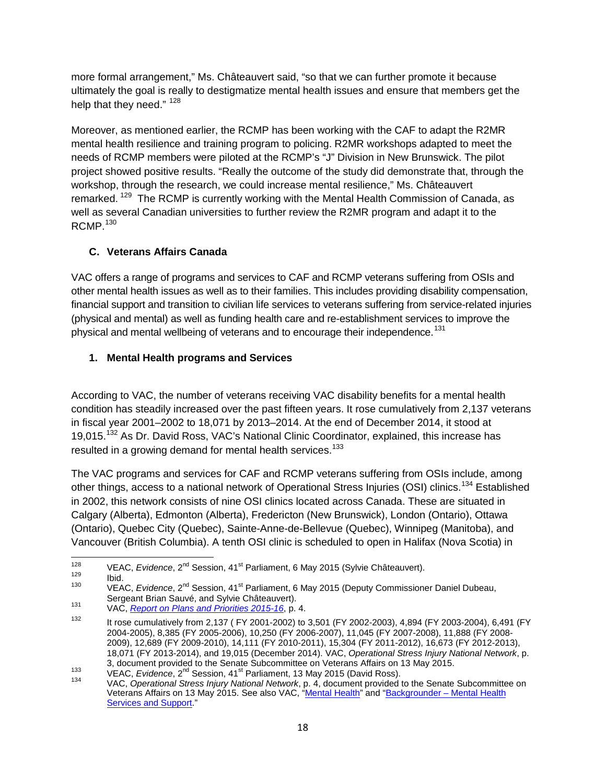more formal arrangement," Ms. Châteauvert said, "so that we can further promote it because ultimately the goal is really to destigmatize mental health issues and ensure that members get the help that they need." [128](#page-23-2)

Moreover, as mentioned earlier, the RCMP has been working with the CAF to adapt the R2MR mental health resilience and training program to policing. R2MR workshops adapted to meet the needs of RCMP members were piloted at the RCMP's "J" Division in New Brunswick. The pilot project showed positive results. "Really the outcome of the study did demonstrate that, through the workshop, through the research, we could increase mental resilience," Ms. Châteauvert remarked. <sup>[129](#page-23-3)</sup> The RCMP is currently working with the Mental Health Commission of Canada, as well as several Canadian universities to further review the R2MR program and adapt it to the  $RCMP.<sup>130</sup>$  $RCMP.<sup>130</sup>$  $RCMP.<sup>130</sup>$ 

## <span id="page-23-0"></span>**C. Veterans Affairs Canada**

VAC offers a range of programs and services to CAF and RCMP veterans suffering from OSIs and other mental health issues as well as to their families. This includes providing disability compensation, financial support and transition to civilian life services to veterans suffering from service-related injuries (physical and mental) as well as funding health care and re-establishment services to improve the physical and mental wellbeing of veterans and to encourage their independence.<sup>[131](#page-23-5)</sup>

## <span id="page-23-1"></span>**1. Mental Health programs and Services**

According to VAC, the number of veterans receiving VAC disability benefits for a mental health condition has steadily increased over the past fifteen years. It rose cumulatively from 2,137 veterans in fiscal year 2001–2002 to 18,071 by 2013–2014. At the end of December 2014, it stood at 19.015.<sup>[132](#page-23-6)</sup> As Dr. David Ross, VAC's National Clinic Coordinator, explained, this increase has resulted in a growing demand for mental health services.<sup>[133](#page-23-7)</sup>

The VAC programs and services for CAF and RCMP veterans suffering from OSIs include, among other things, access to a national network of Operational Stress Injuries (OSI) clinics.<sup>[134](#page-23-8)</sup> Established in 2002, this network consists of nine OSI clinics located across Canada. These are situated in Calgary (Alberta), Edmonton (Alberta), Fredericton (New Brunswick), London (Ontario), Ottawa (Ontario), Quebec City (Quebec), Sainte-Anne-de-Bellevue (Quebec), Winnipeg (Manitoba), and Vancouver (British Columbia). A tenth OSI clinic is scheduled to open in Halifax (Nova Scotia) in

<span id="page-23-5"></span><span id="page-23-4"></span>Sergeant Brian Sauvé, and Sylvie Châteauvert). <sup>131</sup> VAC, *[Report on Plans and Priorities 2015-16](http://www.veterans.gc.ca/pdf/deptReports/rpp/2015-2016/vac-acc-web-pdf-eng.pdf)*, p. 4.

<span id="page-23-3"></span><span id="page-23-2"></span>VEAC, *Evidence*, 2<sup>nd</sup> Session, 41<sup>st</sup> Parliament, 6 May 2015 (Sylvie Châteauvert).<br>
129 Ibid. VEAC, *Evidence*, 2<sup>nd</sup> Session, 41<sup>st</sup> Parliament, 6 May 2015 (Deputy Commissioner Daniel Dubeau,<br>
Sergeant Brian Sauvé, and

<span id="page-23-6"></span><sup>&</sup>lt;sup>132</sup> It rose cumulatively from 2,137 ( FY 2001-2002) to 3,501 (FY 2002-2003), 4,894 (FY 2003-2004), 6,491 (FY 2004-2005), 8,385 (FY 2005-2006), 10,250 (FY 2006-2007), 11,045 (FY 2007-2008), 11,888 (FY 2008- 2009), 12,689 (FY 2009-2010), 14,111 (FY 2010-2011), 15,304 (FY 2011-2012), 16,673 (FY 2012-2013), 18,071 (FY 2013-2014), and 19,015 (December 2014). VAC, *Operational Stress Injury National Network*, p.

<span id="page-23-8"></span><span id="page-23-7"></span><sup>133</sup> VEAC, Evidence, 2<sup>nd</sup> Session, 41<sup>st</sup> Parliament, 13 May 2015 (David Ross).<br>134 VAC, Operational Stress Injury National Network, p. 4, document provided to the Senate Subcommittee on Veterans Affairs on 13 May 2015. See also VAC, ["Mental Health"](http://www.veterans.gc.ca/eng/services/health/mental-health) and "Backgrounder - Mental Health [Services and Support.](http://www.veterans.gc.ca/eng/news/viewbackgrounder/29)"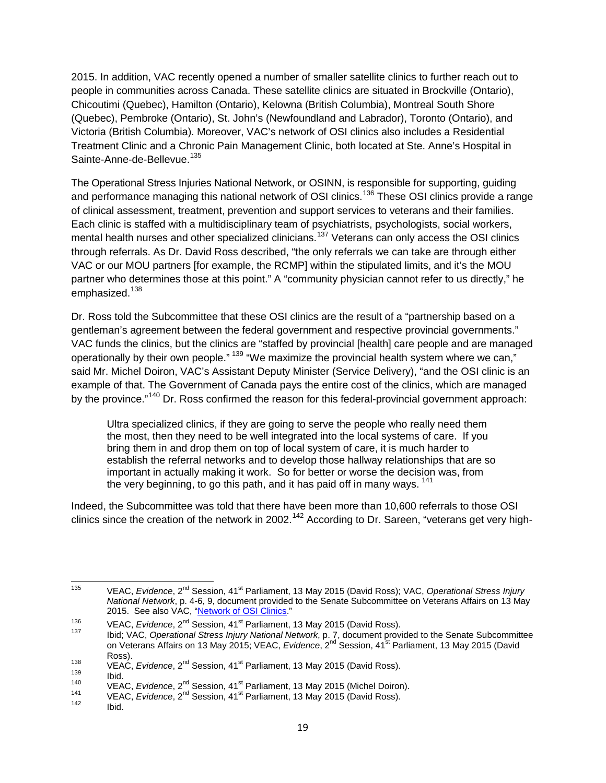2015. In addition, VAC recently opened a number of smaller satellite clinics to further reach out to people in communities across Canada. These satellite clinics are situated in Brockville (Ontario), Chicoutimi (Quebec), Hamilton (Ontario), Kelowna (British Columbia), Montreal South Shore (Quebec), Pembroke (Ontario), St. John's (Newfoundland and Labrador), Toronto (Ontario), and Victoria (British Columbia). Moreover, VAC's network of OSI clinics also includes a Residential Treatment Clinic and a Chronic Pain Management Clinic, both located at Ste. Anne's Hospital in Sainte-Anne-de-Bellevue.<sup>[135](#page-24-0)</sup>

The Operational Stress Injuries National Network, or OSINN, is responsible for supporting, guiding and performance managing this national network of OSI clinics.<sup>[136](#page-24-1)</sup> These OSI clinics provide a range of clinical assessment, treatment, prevention and support services to veterans and their families. Each clinic is staffed with a multidisciplinary team of psychiatrists, psychologists, social workers, mental health nurses and other specialized clinicians.<sup>[137](#page-24-2)</sup> Veterans can only access the OSI clinics through referrals. As Dr. David Ross described, "the only referrals we can take are through either VAC or our MOU partners [for example, the RCMP] within the stipulated limits, and it's the MOU partner who determines those at this point." A "community physician cannot refer to us directly," he emphasized.<sup>[138](#page-24-3)</sup>

Dr. Ross told the Subcommittee that these OSI clinics are the result of a "partnership based on a gentleman's agreement between the federal government and respective provincial governments." VAC funds the clinics, but the clinics are "staffed by provincial [health] care people and are managed operationally by their own people." <sup>[139](#page-24-4)</sup> "We maximize the provincial health system where we can," said Mr. Michel Doiron, VAC's Assistant Deputy Minister (Service Delivery), "and the OSI clinic is an example of that. The Government of Canada pays the entire cost of the clinics, which are managed by the province.<sup>"[140](#page-24-5)</sup> Dr. Ross confirmed the reason for this federal-provincial government approach:

Ultra specialized clinics, if they are going to serve the people who really need them the most, then they need to be well integrated into the local systems of care. If you bring them in and drop them on top of local system of care, it is much harder to establish the referral networks and to develop those hallway relationships that are so important in actually making it work. So for better or worse the decision was, from the very beginning, to go this path, and it has paid off in many ways.<sup>[141](#page-24-6)</sup>

Indeed, the Subcommittee was told that there have been more than 10,600 referrals to those OSI clinics since the creation of the network in 2002.<sup>[142](#page-24-7)</sup> According to Dr. Sareen, "veterans get very high-

<span id="page-24-0"></span><sup>135</sup> VEAC, *Evidence*, 2nd Session, 41st Parliament, 13 May 2015 (David Ross); VAC, *Operational Stress Injury National Network*, p. 4-6, 9, document provided to the Senate Subcommittee on Veterans Affairs on 13 May 2015. See also VAC, ["Network of OSI Clinics.](http://www.veterans.gc.ca/eng/services/health/mental-health/understanding-mental-health/clinics)"

<span id="page-24-2"></span><span id="page-24-1"></span><sup>&</sup>lt;sup>136</sup> VEAC, *Evidence*, 2<sup>nd</sup> Session, 41<sup>st</sup> Parliament, 13 May 2015 (David Ross).<br><sup>137</sup> Ibid; VAC, *Operational Stress Injury National Network*, p. 7, document provided to the Senate Subcommittee on Veterans Affairs on 13 May 2015; VEAC, *Evidence*, 2<sup>nd</sup> Session, 41<sup>st</sup> Parliament, 13 May 2015 (David

<span id="page-24-5"></span><span id="page-24-4"></span>

<span id="page-24-3"></span>Ross).<br>
VEAC, Evidence, 2<sup>nd</sup> Session, 41<sup>st</sup> Parliament, 13 May 2015 (David Ross).<br>
139 Ibid.<br>
VEAC, Evidence, 2<sup>nd</sup> Session, 41<sup>st</sup> Parliament, 13 May 2015 (Michel Doiron).<br>
141 VEAC, Evidence, 2<sup>nd</sup> Session, 41<sup>st</sup> Parl

<span id="page-24-7"></span><span id="page-24-6"></span>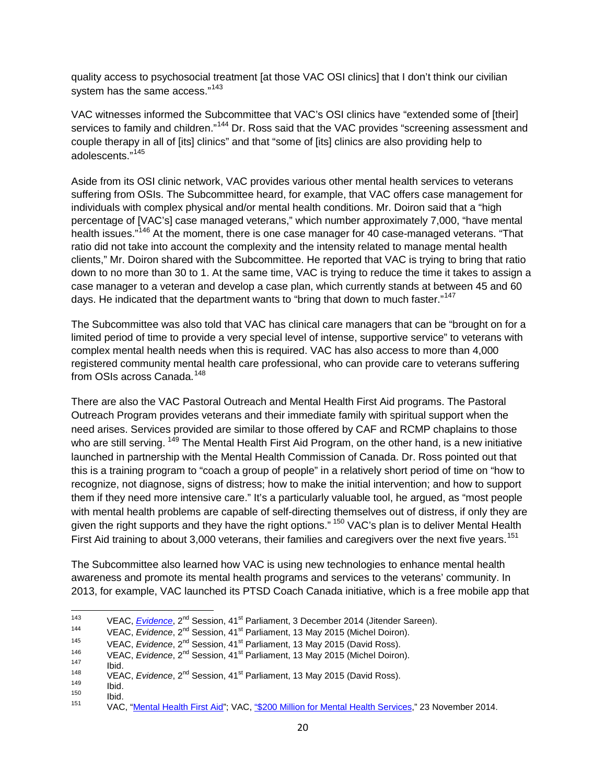quality access to psychosocial treatment [at those VAC OSI clinics] that I don't think our civilian system has the same access."<sup>[143](#page-25-0)</sup>

VAC witnesses informed the Subcommittee that VAC's OSI clinics have "extended some of [their] services to family and children."<sup>[144](#page-25-1)</sup> Dr. Ross said that the VAC provides "screening assessment and couple therapy in all of [its] clinics" and that "some of [its] clinics are also providing help to adolescents."[145](#page-25-2)

Aside from its OSI clinic network, VAC provides various other mental health services to veterans suffering from OSIs. The Subcommittee heard, for example, that VAC offers case management for individuals with complex physical and/or mental health conditions. Mr. Doiron said that a "high percentage of [VAC's] case managed veterans," which number approximately 7,000, "have mental health issues.<sup>"[146](#page-25-3)</sup> At the moment, there is one case manager for 40 case-managed veterans. "That ratio did not take into account the complexity and the intensity related to manage mental health clients," Mr. Doiron shared with the Subcommittee. He reported that VAC is trying to bring that ratio down to no more than 30 to 1. At the same time, VAC is trying to reduce the time it takes to assign a case manager to a veteran and develop a case plan, which currently stands at between 45 and 60 days. He indicated that the department wants to "bring that down to much faster."<sup>147</sup>

The Subcommittee was also told that VAC has clinical care managers that can be "brought on for a limited period of time to provide a very special level of intense, supportive service" to veterans with complex mental health needs when this is required. VAC has also access to more than 4,000 registered community mental health care professional, who can provide care to veterans suffering from OSIs across Canada.<sup>148</sup>

There are also the VAC Pastoral Outreach and Mental Health First Aid programs. The Pastoral Outreach Program provides veterans and their immediate family with spiritual support when the need arises. Services provided are similar to those offered by CAF and RCMP chaplains to those who are still serving. <sup>[149](#page-25-6)</sup> The Mental Health First Aid Program, on the other hand, is a new initiative launched in partnership with the Mental Health Commission of Canada. Dr. Ross pointed out that this is a training program to "coach a group of people" in a relatively short period of time on "how to recognize, not diagnose, signs of distress; how to make the initial intervention; and how to support them if they need more intensive care." It's a particularly valuable tool, he argued, as "most people with mental health problems are capable of self-directing themselves out of distress, if only they are given the right supports and they have the right options." <sup>[150](#page-25-7)</sup> VAC's plan is to deliver Mental Health First Aid training to about 3,000 veterans, their families and caregivers over the next five years.<sup>[151](#page-25-8)</sup>

The Subcommittee also learned how VAC is using new technologies to enhance mental health awareness and promote its mental health programs and services to the veterans' community. In 2013, for example, VAC launched its PTSD Coach Canada initiative, which is a free mobile app that

<span id="page-25-0"></span><sup>&</sup>lt;sup>143</sup> VEAC, *<u>[Evidence](http://www.parl.gc.ca/Content/SEN/Committee/412/veac/pdf/08issue.pdf)</u>*, 2<sup>nd</sup> Session, 41<sup>st</sup> Parliament, 3 December 2014 (Jitender Sareen).<br>
<sup>144</sup> VEAC, *Evidence*, 2<sup>nd</sup> Session, 41<sup>st</sup> Parliament, 13 May 2015 (Michel Doiron).<br>
<sup>145</sup> VEAC, *Evidence*, 2<sup>nd</sup> Session,

<span id="page-25-1"></span>

<span id="page-25-2"></span>

<span id="page-25-4"></span><span id="page-25-3"></span>

<span id="page-25-6"></span><span id="page-25-5"></span>

<span id="page-25-8"></span><span id="page-25-7"></span>

<sup>&</sup>lt;sup>146</sup><br>
VEAC, Evidence, 2<sup>nd</sup> Session, 41<sup>st</sup> Parliament, 13 May 2015 (Michel Doiron).<br>
148<br>
148<br>
149<br>
150<br>
150<br>
160.<br>
160<br>
160.<br>
160<br>
160.<br>
160<br>
160.<br>
160.<br>
160.<br>
160.<br>
160.<br>
160.<br>
160.<br>
160.<br>
160.<br>
160.<br>
160.<br>
160.<br>
160.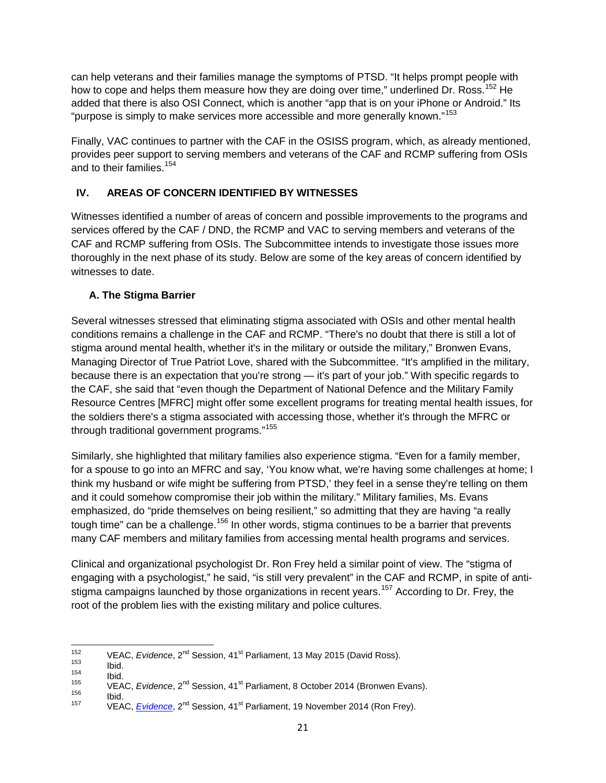can help veterans and their families manage the symptoms of PTSD. "It helps prompt people with how to cope and helps them measure how they are doing over time," underlined Dr. Ross.<sup>[152](#page-26-2)</sup> He added that there is also OSI Connect, which is another "app that is on your iPhone or Android." Its "purpose is simply to make services more accessible and more generally known."<sup>153</sup>

Finally, VAC continues to partner with the CAF in the OSISS program, which, as already mentioned, provides peer support to serving members and veterans of the CAF and RCMP suffering from OSIs and to their families.<sup>[154](#page-26-4)</sup>

#### <span id="page-26-0"></span>**IV. AREAS OF CONCERN IDENTIFIED BY WITNESSES**

Witnesses identified a number of areas of concern and possible improvements to the programs and services offered by the CAF / DND, the RCMP and VAC to serving members and veterans of the CAF and RCMP suffering from OSIs. The Subcommittee intends to investigate those issues more thoroughly in the next phase of its study. Below are some of the key areas of concern identified by witnesses to date.

#### <span id="page-26-1"></span>**A. The Stigma Barrier**

Several witnesses stressed that eliminating stigma associated with OSIs and other mental health conditions remains a challenge in the CAF and RCMP. "There's no doubt that there is still a lot of stigma around mental health, whether it's in the military or outside the military," Bronwen Evans, Managing Director of True Patriot Love, shared with the Subcommittee. "It's amplified in the military, because there is an expectation that you're strong — it's part of your job." With specific regards to the CAF, she said that "even though the Department of National Defence and the Military Family Resource Centres [MFRC] might offer some excellent programs for treating mental health issues, for the soldiers there's a stigma associated with accessing those, whether it's through the MFRC or through traditional government programs." [155](#page-26-5)

Similarly, she highlighted that military families also experience stigma. "Even for a family member, for a spouse to go into an MFRC and say, 'You know what, we're having some challenges at home; I think my husband or wife might be suffering from PTSD,' they feel in a sense they're telling on them and it could somehow compromise their job within the military." Military families, Ms. Evans emphasized, do "pride themselves on being resilient," so admitting that they are having "a really tough time" can be a challenge.<sup>[156](#page-26-6)</sup> In other words, stigma continues to be a barrier that prevents many CAF members and military families from accessing mental health programs and services.

Clinical and organizational psychologist Dr. Ron Frey held a similar point of view. The "stigma of engaging with a psychologist," he said, "is still very prevalent" in the CAF and RCMP, in spite of anti-stigma campaigns launched by those organizations in recent years.<sup>[157](#page-26-7)</sup> According to Dr. Frey, the root of the problem lies with the existing military and police cultures.

<span id="page-26-6"></span><span id="page-26-5"></span><span id="page-26-4"></span>

<span id="page-26-3"></span><span id="page-26-2"></span><sup>&</sup>lt;sup>152</sup> VEAC, *[Evidence](http://www.parl.gc.ca/Content/SEN/Committee/412/veac/pdf/08issue.pdf)*, 2<sup>nd</sup> Session, 41<sup>st</sup> Parliament, 13 May 2015 (David Ross).<br>
154 Ibid.<br>
155 VEAC, *Evidence*, 2<sup>nd</sup> Session, 41<sup>st</sup> Parliament, 8 October 2014 (Bronwen Evans).<br>
156 Ibid.<br>
157 VEAC, *Evidence*, 2<sup>n</sup>

<span id="page-26-7"></span>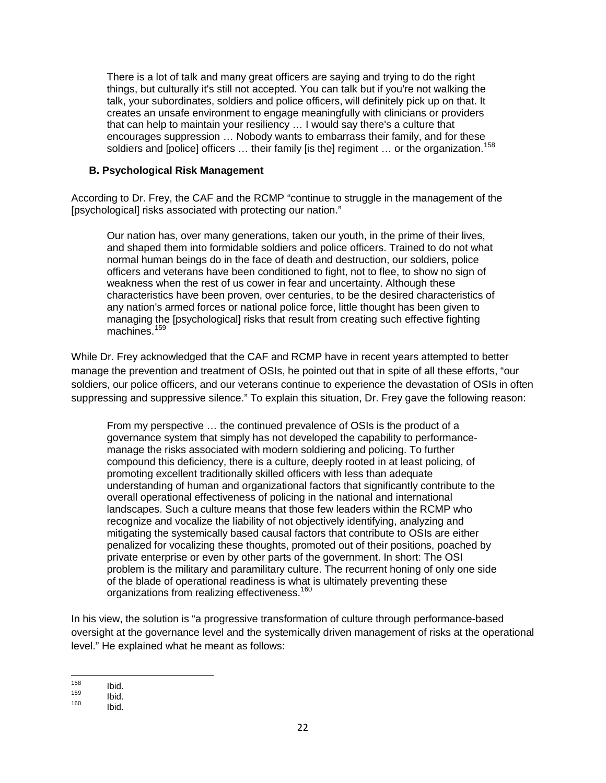There is a lot of talk and many great officers are saying and trying to do the right things, but culturally it's still not accepted. You can talk but if you're not walking the talk, your subordinates, soldiers and police officers, will definitely pick up on that. It creates an unsafe environment to engage meaningfully with clinicians or providers that can help to maintain your resiliency … I would say there's a culture that encourages suppression … Nobody wants to embarrass their family, and for these soldiers and [police] officers ... their family [is the] regiment ... or the organization.<sup>[158](#page-27-1)</sup>

#### <span id="page-27-0"></span>**B. Psychological Risk Management**

According to Dr. Frey, the CAF and the RCMP "continue to struggle in the management of the [psychological] risks associated with protecting our nation."

Our nation has, over many generations, taken our youth, in the prime of their lives, and shaped them into formidable soldiers and police officers. Trained to do not what normal human beings do in the face of death and destruction, our soldiers, police officers and veterans have been conditioned to fight, not to flee, to show no sign of weakness when the rest of us cower in fear and uncertainty. Although these characteristics have been proven, over centuries, to be the desired characteristics of any nation's armed forces or national police force, little thought has been given to managing the [psychological] risks that result from creating such effective fighting machines.<sup>[159](#page-27-2)</sup>

While Dr. Frey acknowledged that the CAF and RCMP have in recent years attempted to better manage the prevention and treatment of OSIs, he pointed out that in spite of all these efforts, "our soldiers, our police officers, and our veterans continue to experience the devastation of OSIs in often suppressing and suppressive silence." To explain this situation, Dr. Frey gave the following reason:

From my perspective … the continued prevalence of OSIs is the product of a governance system that simply has not developed the capability to performancemanage the risks associated with modern soldiering and policing. To further compound this deficiency, there is a culture, deeply rooted in at least policing, of promoting excellent traditionally skilled officers with less than adequate understanding of human and organizational factors that significantly contribute to the overall operational effectiveness of policing in the national and international landscapes. Such a culture means that those few leaders within the RCMP who recognize and vocalize the liability of not objectively identifying, analyzing and mitigating the systemically based causal factors that contribute to OSIs are either penalized for vocalizing these thoughts, promoted out of their positions, poached by private enterprise or even by other parts of the government. In short: The OSI problem is the military and paramilitary culture. The recurrent honing of only one side of the blade of operational readiness is what is ultimately preventing these organizations from realizing effectiveness.<sup>[160](#page-27-3)</sup>

In his view, the solution is "a progressive transformation of culture through performance-based oversight at the governance level and the systemically driven management of risks at the operational level." He explained what he meant as follows:

<span id="page-27-2"></span><span id="page-27-1"></span>

<sup>158</sup> **Ibid.**<br>159 **Ibid.**<br>160 **Ibid.** 

<span id="page-27-3"></span>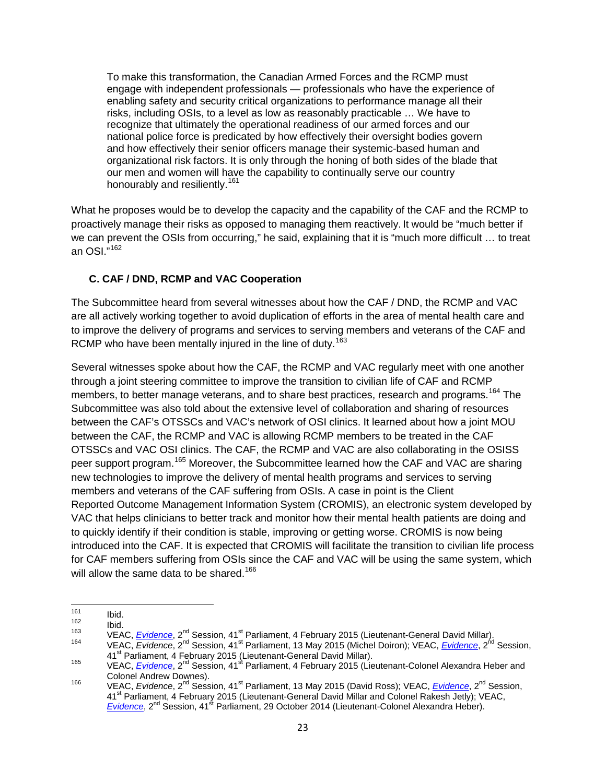To make this transformation, the Canadian Armed Forces and the RCMP must engage with independent professionals — professionals who have the experience of enabling safety and security critical organizations to performance manage all their risks, including OSIs, to a level as low as reasonably practicable … We have to recognize that ultimately the operational readiness of our armed forces and our national police force is predicated by how effectively their oversight bodies govern and how effectively their senior officers manage their systemic-based human and organizational risk factors. It is only through the honing of both sides of the blade that our men and women will have the capability to continually serve our country honourably and resiliently.<sup>[161](#page-28-1)</sup>

What he proposes would be to develop the capacity and the capability of the CAF and the RCMP to proactively manage their risks as opposed to managing them reactively. It would be "much better if we can prevent the OSIs from occurring," he said, explaining that it is "much more difficult … to treat an OSI." [162](#page-28-2)

#### <span id="page-28-0"></span>**C. CAF / DND, RCMP and VAC Cooperation**

The Subcommittee heard from several witnesses about how the CAF / DND, the RCMP and VAC are all actively working together to avoid duplication of efforts in the area of mental health care and to improve the delivery of programs and services to serving members and veterans of the CAF and RCMP who have been mentally injured in the line of duty.<sup>[163](#page-28-3)</sup>

Several witnesses spoke about how the CAF, the RCMP and VAC regularly meet with one another through a joint steering committee to improve the transition to civilian life of CAF and RCMP members, to better manage veterans, and to share best practices, research and programs.<sup>[164](#page-28-4)</sup> The Subcommittee was also told about the extensive level of collaboration and sharing of resources between the CAF's OTSSCs and VAC's network of OSI clinics. It learned about how a joint MOU between the CAF, the RCMP and VAC is allowing RCMP members to be treated in the CAF OTSSCs and VAC OSI clinics. The CAF, the RCMP and VAC are also collaborating in the OSISS peer support program.<sup>[165](#page-28-5)</sup> Moreover, the Subcommittee learned how the CAF and VAC are sharing new technologies to improve the delivery of mental health programs and services to serving members and veterans of the CAF suffering from OSIs. A case in point is the Client Reported Outcome Management Information System (CROMIS), an electronic system developed by VAC that helps clinicians to better track and monitor how their mental health patients are doing and to quickly identify if their condition is stable, improving or getting worse. CROMIS is now being introduced into the CAF. It is expected that CROMIS will facilitate the transition to civilian life process for CAF members suffering from OSIs since the CAF and VAC will be using the same system, which will allow the same data to be shared.<sup>[166](#page-28-6)</sup>

<span id="page-28-2"></span>

<span id="page-28-3"></span>

<span id="page-28-1"></span><sup>&</sup>lt;sup>161</sup> Ibid.<br>
<sup>162</sup> Ibid.<br>
<sup>163</sup> VEAC, *[Evidence](http://www.parl.gc.ca/Content/SEN/Committee/412/veac/pdf/09issue.pdf)*, 2<sup>nd</sup> Session, 41<sup>st</sup> Parliament, 4 February 2015 (Lieutenant-General David Millar).<br>
164 VEAC, *Evidence*, 2<sup>nd</sup> Session, 41<sup>st</sup> Parliament, 13 May 2015 (Michel Doiron); V

<span id="page-28-5"></span><span id="page-28-4"></span><sup>165</sup> VEAC, *[Evidence](http://www.parl.gc.ca/Content/SEN/Committee/412/veac/pdf/09issue.pdf)*, 2<sup>nd</sup> Session, 41<sup>st</sup> Parliament, 4 February 2015 (Lieutenant-Colonel Alexandra Heber and<br>Colonel Andrew Downes).

<span id="page-28-6"></span>Colonel Andrew Downes). <sup>166</sup> VEAC, *Evidence*, 2nd Session, 41st Parliament, 13 May 2015 (David Ross); VEAC, *[Evidence](http://www.parl.gc.ca/Content/SEN/Committee/412/veac/pdf/09issue.pdf)*, 2nd Session, 41<sup>st</sup> Parliament, 4 February 2015 (Lieutenant-General David Millar and Colonel Rakesh Jetly); VEAC, [Evidence](http://www.parl.gc.ca/Content/SEN/Committee/412/veac/pdf/08issue.pdf), 2<sup>nd</sup> Session, 41<sup>st</sup> Parliament, 29 October 2014 (Lieutenant-Colonel Alexandra Heber).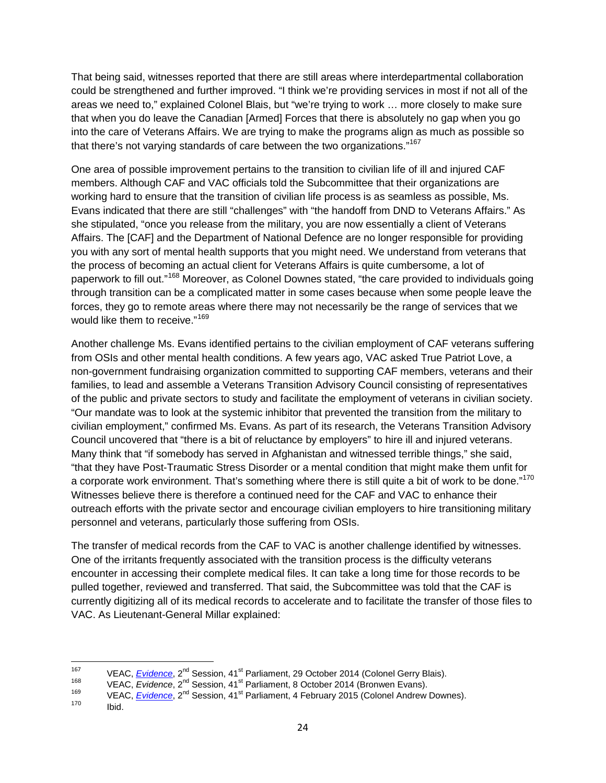That being said, witnesses reported that there are still areas where interdepartmental collaboration could be strengthened and further improved. "I think we're providing services in most if not all of the areas we need to," explained Colonel Blais, but "we're trying to work … more closely to make sure that when you do leave the Canadian [Armed] Forces that there is absolutely no gap when you go into the care of Veterans Affairs. We are trying to make the programs align as much as possible so that there's not varying standards of care between the two organizations."<sup>[167](#page-29-0)</sup>

One area of possible improvement pertains to the transition to civilian life of ill and injured CAF members. Although CAF and VAC officials told the Subcommittee that their organizations are working hard to ensure that the transition of civilian life process is as seamless as possible, Ms. Evans indicated that there are still "challenges" with "the handoff from DND to Veterans Affairs." As she stipulated, "once you release from the military, you are now essentially a client of Veterans Affairs. The [CAF] and the Department of National Defence are no longer responsible for providing you with any sort of mental health supports that you might need. We understand from veterans that the process of becoming an actual client for Veterans Affairs is quite cumbersome, a lot of paperwork to fill out."<sup>[168](#page-29-1)</sup> Moreover, as Colonel Downes stated, "the care provided to individuals going through transition can be a complicated matter in some cases because when some people leave the forces, they go to remote areas where there may not necessarily be the range of services that we would like them to receive."<sup>[169](#page-29-2)</sup>

Another challenge Ms. Evans identified pertains to the civilian employment of CAF veterans suffering from OSIs and other mental health conditions. A few years ago, VAC asked True Patriot Love, a non-government fundraising organization committed to supporting CAF members, veterans and their families, to lead and assemble a Veterans Transition Advisory Council consisting of representatives of the public and private sectors to study and facilitate the employment of veterans in civilian society. "Our mandate was to look at the systemic inhibitor that prevented the transition from the military to civilian employment," confirmed Ms. Evans. As part of its research, the Veterans Transition Advisory Council uncovered that "there is a bit of reluctance by employers" to hire ill and injured veterans. Many think that "if somebody has served in Afghanistan and witnessed terrible things," she said, "that they have Post-Traumatic Stress Disorder or a mental condition that might make them unfit for a corporate work environment. That's something where there is still quite a bit of work to be done."<sup>[170](#page-29-3)</sup> Witnesses believe there is therefore a continued need for the CAF and VAC to enhance their outreach efforts with the private sector and encourage civilian employers to hire transitioning military personnel and veterans, particularly those suffering from OSIs.

The transfer of medical records from the CAF to VAC is another challenge identified by witnesses. One of the irritants frequently associated with the transition process is the difficulty veterans encounter in accessing their complete medical files. It can take a long time for those records to be pulled together, reviewed and transferred. That said, the Subcommittee was told that the CAF is currently digitizing all of its medical records to accelerate and to facilitate the transfer of those files to VAC. As Lieutenant-General Millar explained:

<span id="page-29-2"></span><span id="page-29-1"></span>

<span id="page-29-0"></span><sup>&</sup>lt;sup>167</sup> VEAC, *[Evidence](http://www.parl.gc.ca/Content/SEN/Committee/412/veac/pdf/09issue.pdf)*, 2<sup>nd</sup> Session, 41<sup>st</sup> Parliament, 29 October 2014 (Colonel Gerry Blais).<br>
<sup>168</sup> VEAC, *Evidence*, 2<sup>nd</sup> Session, 41<sup>st</sup> Parliament, 8 October 2014 (Bronwen Evans).<br>
VEAC, *Evidence*, 2<sup>nd</sup> Session,

<span id="page-29-3"></span>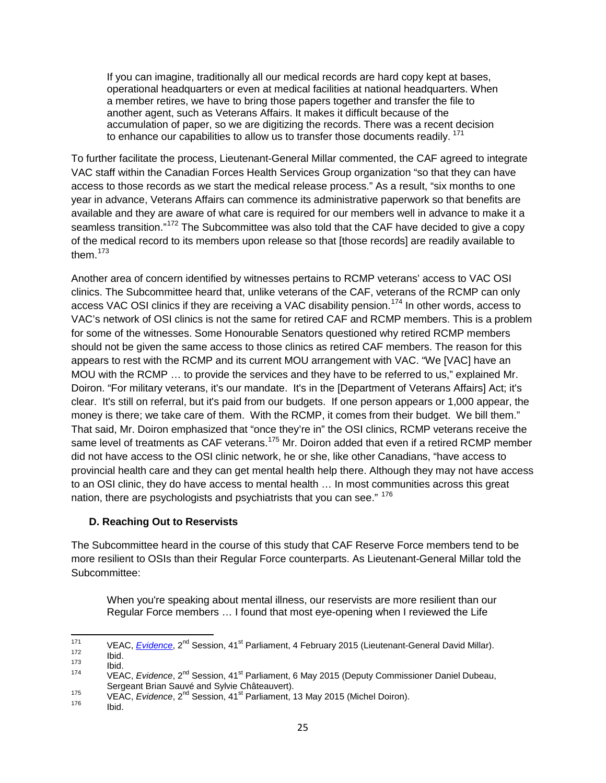If you can imagine, traditionally all our medical records are hard copy kept at bases, operational headquarters or even at medical facilities at national headquarters. When a member retires, we have to bring those papers together and transfer the file to another agent, such as Veterans Affairs. It makes it difficult because of the accumulation of paper, so we are digitizing the records. There was a recent decision to enhance our capabilities to allow us to transfer those documents readily.  $171$ 

To further facilitate the process, Lieutenant-General Millar commented, the CAF agreed to integrate VAC staff within the Canadian Forces Health Services Group organization "so that they can have access to those records as we start the medical release process." As a result, "six months to one year in advance, Veterans Affairs can commence its administrative paperwork so that benefits are available and they are aware of what care is required for our members well in advance to make it a seamless transition."<sup>[172](#page-30-2)</sup> The Subcommittee was also told that the CAF have decided to give a copy of the medical record to its members upon release so that [those records] are readily available to them $173$ 

Another area of concern identified by witnesses pertains to RCMP veterans' access to VAC OSI clinics. The Subcommittee heard that, unlike veterans of the CAF, veterans of the RCMP can only access VAC OSI clinics if they are receiving a VAC disability pension.<sup>[174](#page-30-4)</sup> In other words, access to VAC's network of OSI clinics is not the same for retired CAF and RCMP members. This is a problem for some of the witnesses. Some Honourable Senators questioned why retired RCMP members should not be given the same access to those clinics as retired CAF members. The reason for this appears to rest with the RCMP and its current MOU arrangement with VAC. "We [VAC] have an MOU with the RCMP … to provide the services and they have to be referred to us," explained Mr. Doiron. "For military veterans, it's our mandate. It's in the [Department of Veterans Affairs] Act; it's clear. It's still on referral, but it's paid from our budgets. If one person appears or 1,000 appear, the money is there; we take care of them. With the RCMP, it comes from their budget. We bill them." That said, Mr. Doiron emphasized that "once they're in" the OSI clinics, RCMP veterans receive the same level of treatments as CAF veterans.<sup>[175](#page-30-5)</sup> Mr. Doiron added that even if a retired RCMP member did not have access to the OSI clinic network, he or she, like other Canadians, "have access to provincial health care and they can get mental health help there. Although they may not have access to an OSI clinic, they do have access to mental health … In most communities across this great nation, there are psychologists and psychiatrists that you can see." <sup>176</sup>

#### <span id="page-30-0"></span>**D. Reaching Out to Reservists**

The Subcommittee heard in the course of this study that CAF Reserve Force members tend to be more resilient to OSIs than their Regular Force counterparts. As Lieutenant-General Millar told the Subcommittee:

When you're speaking about mental illness, our reservists are more resilient than our Regular Force members … I found that most eye-opening when I reviewed the Life

<span id="page-30-3"></span><span id="page-30-2"></span>

<span id="page-30-1"></span><sup>&</sup>lt;sup>171</sup> VEAC, *[Evidence](http://www.parl.gc.ca/Content/SEN/Committee/412/veac/pdf/09issue.pdf)*, 2<sup>nd</sup> Session, 41<sup>st</sup> Parliament, 4 February 2015 (Lieutenant-General David Millar).<br>
172 Ibid.<br>
173 Ibid.<br>
174 VEAC, *Evidence*, 2<sup>nd</sup> Session, 41<sup>st</sup> Parliament, 6 May 2015 (Deputy Commissioner D

<span id="page-30-6"></span><span id="page-30-5"></span><span id="page-30-4"></span>Sergeant Brian Sauvé and Sylvie Châteauvert). <sup>175</sup> VEAC, *Evidence*, 2nd Session, 41st Parliament, 13 May 2015 (Michel Doiron). <sup>176</sup> Ibid.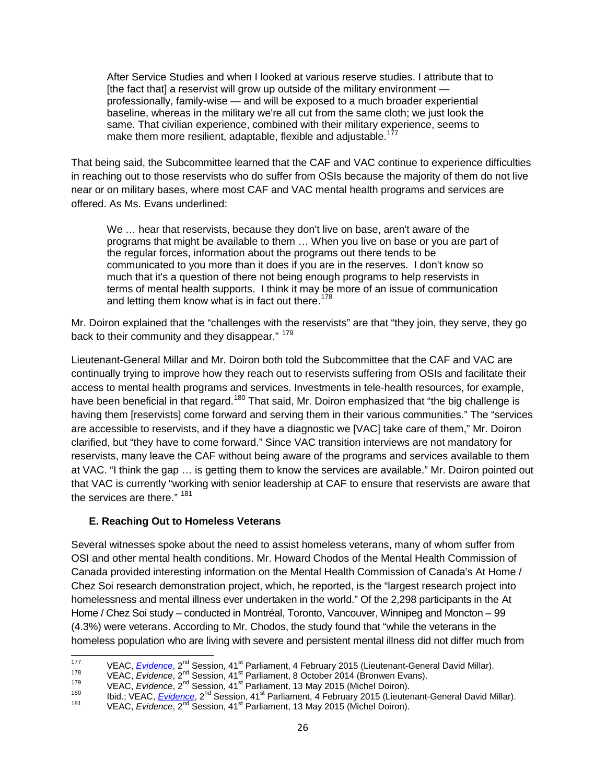After Service Studies and when I looked at various reserve studies. I attribute that to [the fact that] a reservist will grow up outside of the military environment professionally, family-wise — and will be exposed to a much broader experiential baseline, whereas in the military we're all cut from the same cloth; we just look the same. That civilian experience, combined with their military experience, seems to make them more resilient, adaptable, flexible and adjustable.<sup>[177](#page-31-1)</sup>

That being said, the Subcommittee learned that the CAF and VAC continue to experience difficulties in reaching out to those reservists who do suffer from OSIs because the majority of them do not live near or on military bases, where most CAF and VAC mental health programs and services are offered. As Ms. Evans underlined:

We … hear that reservists, because they don't live on base, aren't aware of the programs that might be available to them … When you live on base or you are part of the regular forces, information about the programs out there tends to be communicated to you more than it does if you are in the reserves. I don't know so much that it's a question of there not being enough programs to help reservists in terms of mental health supports. I think it may be more of an issue of communication and letting them know what is in fact out there.<sup>[178](#page-31-2)</sup>

Mr. Doiron explained that the "challenges with the reservists" are that "they join, they serve, they go back to their community and they disappear." 179

Lieutenant-General Millar and Mr. Doiron both told the Subcommittee that the CAF and VAC are continually trying to improve how they reach out to reservists suffering from OSIs and facilitate their access to mental health programs and services. Investments in tele-health resources, for example, have been beneficial in that regard.<sup>[180](#page-31-4)</sup> That said, Mr. Doiron emphasized that "the big challenge is having them [reservists] come forward and serving them in their various communities." The "services are accessible to reservists, and if they have a diagnostic we [VAC] take care of them," Mr. Doiron clarified, but "they have to come forward." Since VAC transition interviews are not mandatory for reservists, many leave the CAF without being aware of the programs and services available to them at VAC. "I think the gap … is getting them to know the services are available." Mr. Doiron pointed out that VAC is currently "working with senior leadership at CAF to ensure that reservists are aware that the services are there." <sup>[181](#page-31-5)</sup>

#### <span id="page-31-0"></span>**E. Reaching Out to Homeless Veterans**

Several witnesses spoke about the need to assist homeless veterans, many of whom suffer from OSI and other mental health conditions. Mr. Howard Chodos of the Mental Health Commission of Canada provided interesting information on the Mental Health Commission of Canada's At Home / Chez Soi research demonstration project, which, he reported, is the "largest research project into homelessness and mental illness ever undertaken in the world." Of the 2,298 participants in the At Home / Chez Soi study – conducted in Montréal, Toronto, Vancouver, Winnipeg and Moncton – 99 (4.3%) were veterans. According to Mr. Chodos, the study found that "while the veterans in the homeless population who are living with severe and persistent mental illness did not differ much from

<span id="page-31-1"></span><sup>&</sup>lt;sup>177</sup> VEAC, *[Evidence](http://www.parl.gc.ca/Content/SEN/Committee/412/veac/pdf/09issue.pdf)*, 2<sup>nd</sup> Session, 41<sup>st</sup> Parliament, 4 February 2015 (Lieutenant-General David Millar).<br>
VEAC, *Evidence*, 2<sup>nd</sup> Session, 41<sup>st</sup> Parliament, 8 October 2014 (Bronwen Evans).<br>
VEAC, *Evidence*, 2<sup>nd</sup> Se

<span id="page-31-3"></span><span id="page-31-2"></span>

<span id="page-31-5"></span><span id="page-31-4"></span>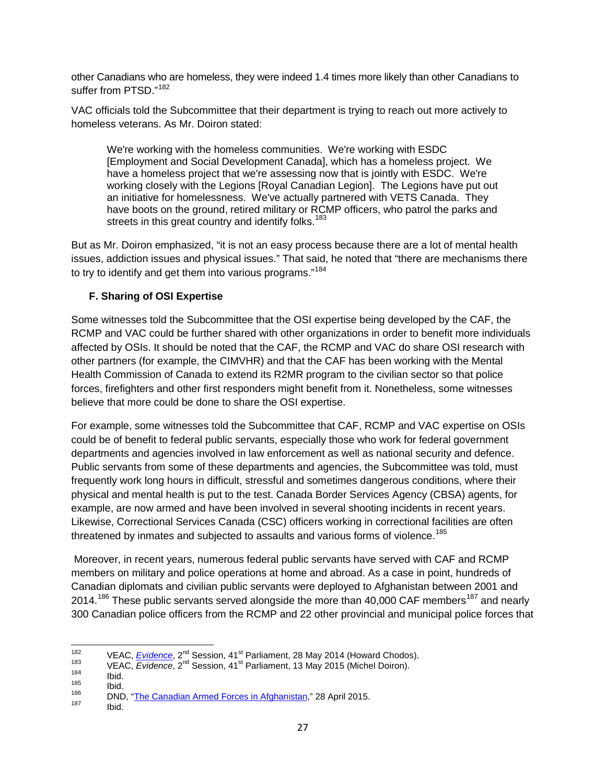other Canadians who are homeless, they were indeed 1.4 times more likely than other Canadians to suffer from PTSD<sup>"[182](#page-32-1)</sup>

VAC officials told the Subcommittee that their department is trying to reach out more actively to homeless veterans. As Mr. Doiron stated:

We're working with the homeless communities. We're working with ESDC [Employment and Social Development Canada], which has a homeless project. We have a homeless project that we're assessing now that is jointly with ESDC. We're working closely with the Legions [Royal Canadian Legion]. The Legions have put out an initiative for homelessness. We've actually partnered with VETS Canada. They have boots on the ground, retired military or RCMP officers, who patrol the parks and streets in this great country and identify folks.<sup>[183](#page-32-2)</sup>

But as Mr. Doiron emphasized, "it is not an easy process because there are a lot of mental health issues, addiction issues and physical issues." That said, he noted that "there are mechanisms there to try to identify and get them into various programs."<sup>[184](#page-32-3)</sup>

#### <span id="page-32-0"></span>**F. Sharing of OSI Expertise**

Some witnesses told the Subcommittee that the OSI expertise being developed by the CAF, the RCMP and VAC could be further shared with other organizations in order to benefit more individuals affected by OSIs. It should be noted that the CAF, the RCMP and VAC do share OSI research with other partners (for example, the CIMVHR) and that the CAF has been working with the Mental Health Commission of Canada to extend its R2MR program to the civilian sector so that police forces, firefighters and other first responders might benefit from it. Nonetheless, some witnesses believe that more could be done to share the OSI expertise.

For example, some witnesses told the Subcommittee that CAF, RCMP and VAC expertise on OSIs could be of benefit to federal public servants, especially those who work for federal government departments and agencies involved in law enforcement as well as national security and defence. Public servants from some of these departments and agencies, the Subcommittee was told, must frequently work long hours in difficult, stressful and sometimes dangerous conditions, where their physical and mental health is put to the test. Canada Border Services Agency (CBSA) agents, for example, are now armed and have been involved in several shooting incidents in recent years. Likewise, Correctional Services Canada (CSC) officers working in correctional facilities are often threatened by inmates and subjected to assaults and various forms of violence.<sup>[185](#page-32-4)</sup>

Moreover, in recent years, numerous federal public servants have served with CAF and RCMP members on military and police operations at home and abroad. As a case in point, hundreds of Canadian diplomats and civilian public servants were deployed to Afghanistan between 2001 and 2014.<sup>[186](#page-32-5)</sup> These public servants served alongside the more than 40,000 CAF members<sup>[187](#page-32-6)</sup> and nearly 300 Canadian police officers from the RCMP and 22 other provincial and municipal police forces that

<span id="page-32-1"></span><sup>&</sup>lt;sup>182</sup> VEAC, <u>[Evidence](http://www.parl.gc.ca/Content/SEN/Committee/412/veac/pdf/06issue.pdf)</u>, 2<sup>nd</sup> Session, 41<sup>st</sup> Parliament, 28 May 2014 (Howard Chodos).<br>
183 VEAC, Evidence, 2<sup>nd</sup> Session, 41<sup>st</sup> Parliament, 13 May 2015 (Michel Doiron).<br>
185 Ibid.<br>
186 Ibid.<br>
187 Ibid.<br>
187 Ibid.<br>
187 I

<span id="page-32-2"></span>

<span id="page-32-3"></span>

<span id="page-32-5"></span><span id="page-32-4"></span>

<span id="page-32-6"></span>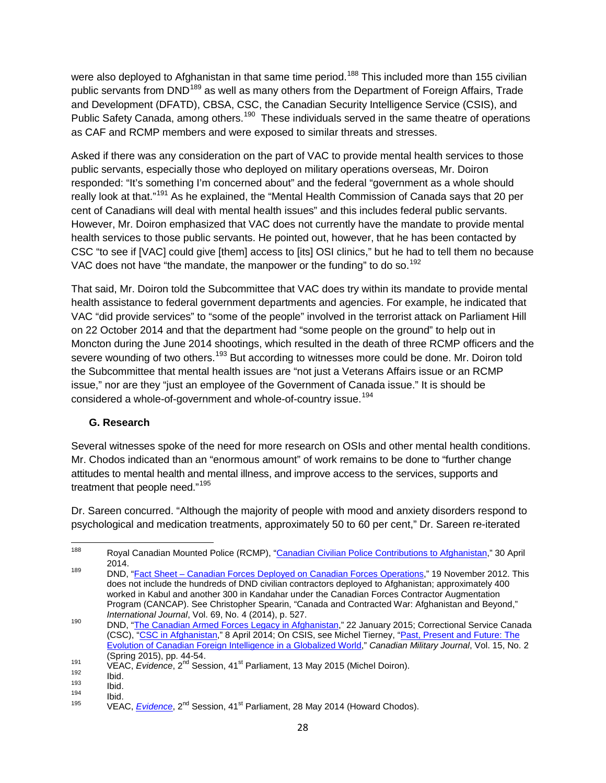were also deployed to Afghanistan in that same time period.<sup>[188](#page-33-1)</sup> This included more than 155 civilian public servants from DND<sup>[189](#page-33-2)</sup> as well as many others from the Department of Foreign Affairs, Trade and Development (DFATD), CBSA, CSC, the Canadian Security Intelligence Service (CSIS), and Public Safety Canada, among others.<sup>[190](#page-33-3)</sup> These individuals served in the same theatre of operations as CAF and RCMP members and were exposed to similar threats and stresses.

Asked if there was any consideration on the part of VAC to provide mental health services to those public servants, especially those who deployed on military operations overseas, Mr. Doiron responded: "It's something I'm concerned about" and the federal "government as a whole should really look at that."[191](#page-33-4) As he explained, the "Mental Health Commission of Canada says that 20 per cent of Canadians will deal with mental health issues" and this includes federal public servants. However, Mr. Doiron emphasized that VAC does not currently have the mandate to provide mental health services to those public servants. He pointed out, however, that he has been contacted by CSC "to see if [VAC] could give [them] access to [its] OSI clinics," but he had to tell them no because VAC does not have "the mandate, the manpower or the funding" to do so.<sup>[192](#page-33-5)</sup>

That said, Mr. Doiron told the Subcommittee that VAC does try within its mandate to provide mental health assistance to federal government departments and agencies. For example, he indicated that VAC "did provide services" to "some of the people" involved in the terrorist attack on Parliament Hill on 22 October 2014 and that the department had "some people on the ground" to help out in Moncton during the June 2014 shootings, which resulted in the death of three RCMP officers and the severe wounding of two others.<sup>[193](#page-33-6)</sup> But according to witnesses more could be done. Mr. Doiron told the Subcommittee that mental health issues are "not just a Veterans Affairs issue or an RCMP issue," nor are they "just an employee of the Government of Canada issue." It is should be considered a whole-of-government and whole-of-country issue.<sup>[194](#page-33-7)</sup>

#### <span id="page-33-0"></span>**G. Research**

Several witnesses spoke of the need for more research on OSIs and other mental health conditions. Mr. Chodos indicated than an "enormous amount" of work remains to be done to "further change attitudes to mental health and mental illness, and improve access to the services, supports and treatment that people need."<sup>[195](#page-33-8)</sup>

Dr. Sareen concurred. "Although the majority of people with mood and anxiety disorders respond to psychological and medication treatments, approximately 50 to 60 per cent," Dr. Sareen re-iterated

<span id="page-33-1"></span><sup>188</sup> Royal Canadian Mounted Police (RCMP), ["Canadian Civilian Police Contributions to Afghanistan,](http://www.rcmp-grc.gc.ca/po-mp/new-nouveau/ccpca-ppcca-eng.htm#cps-spp)" 30 April 2014. 189 2014.<br><sup>189</sup> DND, "Fact Sheet – [Canadian Forces Deployed on Canadian Forces Operations,](http://www.forces.gc.ca/en/news/article.page?doc=canadian-forces-deployed-on-canadian-forces-operations/hgq87xdw)" 19 November 2012. This

<span id="page-33-2"></span>does not include the hundreds of DND civilian contractors deployed to Afghanistan; approximately 400 worked in Kabul and another 300 in Kandahar under the Canadian Forces Contractor Augmentation Program (CANCAP). See Christopher Spearin, "Canada and Contracted War: Afghanistan and Beyond,"<br>International Journal, Vol. 69, No. 4 (2014), p. 527.

<span id="page-33-3"></span>*International Journal*, Vol. 69, No. 4 (2014), p. 527. <sup>190</sup> DND, ["The Canadian Armed Forces Legacy in Afghanistan,](http://www.forces.gc.ca/en/operations-abroad-past/cafla.page)" 22 January 2015; Correctional Service Canada (CSC), ["CSC in Afghanistan,](http://www.csc-scc.gc.ca/in-the-world/004002-1002-eng.shtml)" 8 April 2014; On CSIS, see Michel Tierney, ["Past, Present and Future: The](http://www.journal.forces.gc.ca/vol15/no2/PDF/CMJ152Ep44.pdf)  [Evolution of Canadian Foreign Intelligence in a Globalized World,](http://www.journal.forces.gc.ca/vol15/no2/PDF/CMJ152Ep44.pdf)" *Canadian Military Journal*, Vol. 15, No. 2

<span id="page-33-5"></span><span id="page-33-4"></span><sup>&</sup>lt;sup>191</sup> VEAC, *[Evidence](http://www.parl.gc.ca/Content/SEN/Committee/412/veac/pdf/06issue.pdf)*, 2<sup>nd</sup> Session, 41<sup>st</sup> Parliament, 13 May 2015 (Michel Doiron).<br>
192 Ibid.<br>
194 Ibid.<br>
195 VEAC, *Evidence*, 2<sup>nd</sup> Session, 41<sup>st</sup> Parliament, 28 May 2014 (Howard Chodos).

<span id="page-33-8"></span><span id="page-33-7"></span><span id="page-33-6"></span>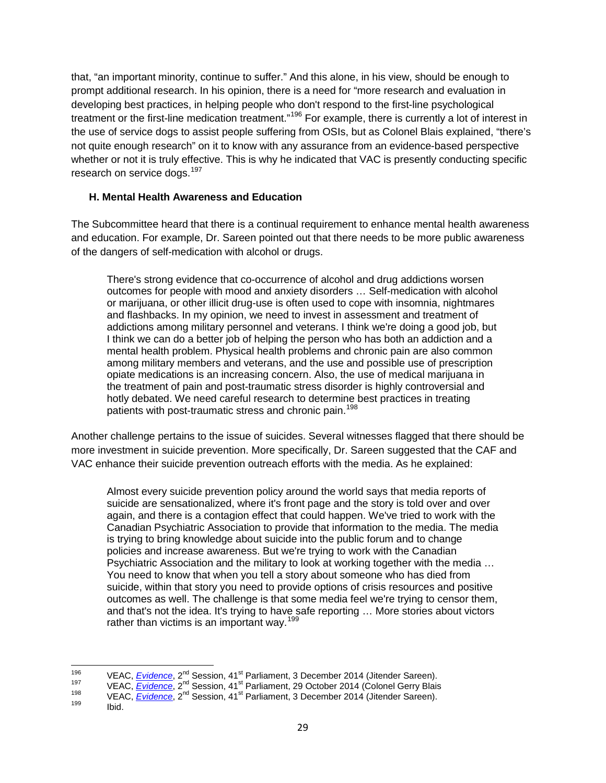that, "an important minority, continue to suffer." And this alone, in his view, should be enough to prompt additional research. In his opinion, there is a need for "more research and evaluation in developing best practices, in helping people who don't respond to the first-line psychological treatment or the first-line medication treatment."<sup>[196](#page-34-1)</sup> For example, there is currently a lot of interest in the use of service dogs to assist people suffering from OSIs, but as Colonel Blais explained, "there's not quite enough research" on it to know with any assurance from an evidence-based perspective whether or not it is truly effective. This is why he indicated that VAC is presently conducting specific research on service dogs.<sup>[197](#page-34-2)</sup>

#### <span id="page-34-0"></span>**H. Mental Health Awareness and Education**

The Subcommittee heard that there is a continual requirement to enhance mental health awareness and education. For example, Dr. Sareen pointed out that there needs to be more public awareness of the dangers of self-medication with alcohol or drugs.

There's strong evidence that co-occurrence of alcohol and drug addictions worsen outcomes for people with mood and anxiety disorders … Self-medication with alcohol or marijuana, or other illicit drug-use is often used to cope with insomnia, nightmares and flashbacks. In my opinion, we need to invest in assessment and treatment of addictions among military personnel and veterans. I think we're doing a good job, but I think we can do a better job of helping the person who has both an addiction and a mental health problem. Physical health problems and chronic pain are also common among military members and veterans, and the use and possible use of prescription opiate medications is an increasing concern. Also, the use of medical marijuana in the treatment of pain and post-traumatic stress disorder is highly controversial and hotly debated. We need careful research to determine best practices in treating patients with post-traumatic stress and chronic pain.<sup>[198](#page-34-3)</sup>

Another challenge pertains to the issue of suicides. Several witnesses flagged that there should be more investment in suicide prevention. More specifically, Dr. Sareen suggested that the CAF and VAC enhance their suicide prevention outreach efforts with the media. As he explained:

Almost every suicide prevention policy around the world says that media reports of suicide are sensationalized, where it's front page and the story is told over and over again, and there is a contagion effect that could happen. We've tried to work with the Canadian Psychiatric Association to provide that information to the media. The media is trying to bring knowledge about suicide into the public forum and to change policies and increase awareness. But we're trying to work with the Canadian Psychiatric Association and the military to look at working together with the media … You need to know that when you tell a story about someone who has died from suicide, within that story you need to provide options of crisis resources and positive outcomes as well. The challenge is that some media feel we're trying to censor them, and that's not the idea. It's trying to have safe reporting … More stories about victors rather than victims is an important way.<sup>[199](#page-34-4)</sup>

<span id="page-34-2"></span><span id="page-34-1"></span><sup>&</sup>lt;sup>196</sup> VEAC, *[Evidence](http://www.parl.gc.ca/Content/SEN/Committee/412/veac/pdf/08issue.pdf)*, 2<sup>nd</sup> Session, 41<sup>st</sup> Parliament, 3 December 2014 (Jitender Sareen).<br>
VEAC, *Evidence*, 2<sup>nd</sup> Session, 41<sup>st</sup> Parliament, 29 October 2014 (Colonel Gerry Blais<br>
VEAC, *Evidence*, 2<sup>nd</sup> Session, 41<sup>s</sup>

<span id="page-34-4"></span><span id="page-34-3"></span>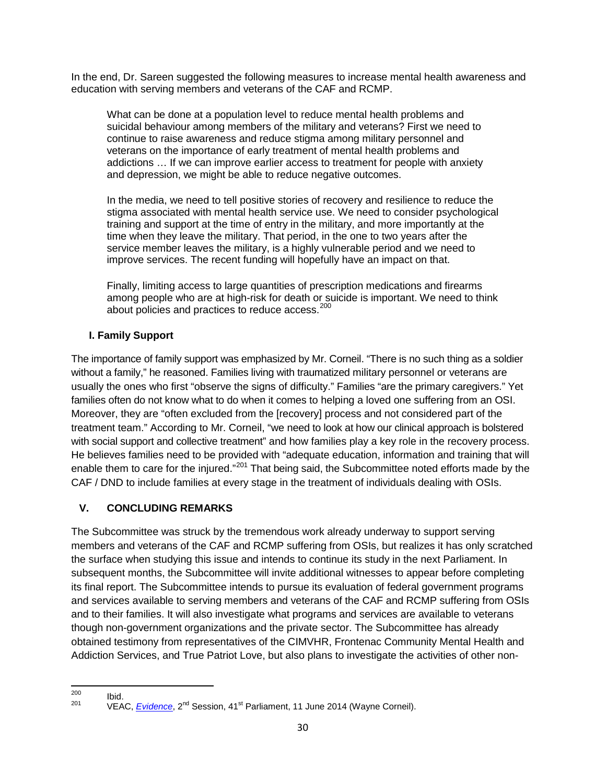In the end, Dr. Sareen suggested the following measures to increase mental health awareness and education with serving members and veterans of the CAF and RCMP.

What can be done at a population level to reduce mental health problems and suicidal behaviour among members of the military and veterans? First we need to continue to raise awareness and reduce stigma among military personnel and veterans on the importance of early treatment of mental health problems and addictions … If we can improve earlier access to treatment for people with anxiety and depression, we might be able to reduce negative outcomes.

In the media, we need to tell positive stories of recovery and resilience to reduce the stigma associated with mental health service use. We need to consider psychological training and support at the time of entry in the military, and more importantly at the time when they leave the military. That period, in the one to two years after the service member leaves the military, is a highly vulnerable period and we need to improve services. The recent funding will hopefully have an impact on that.

Finally, limiting access to large quantities of prescription medications and firearms among people who are at high-risk for death or suicide is important. We need to think about policies and practices to reduce access.<sup>[200](#page-35-2)</sup>

#### <span id="page-35-0"></span>**I. Family Support**

The importance of family support was emphasized by Mr. Corneil. "There is no such thing as a soldier without a family," he reasoned. Families living with traumatized military personnel or veterans are usually the ones who first "observe the signs of difficulty." Families "are the primary caregivers." Yet families often do not know what to do when it comes to helping a loved one suffering from an OSI. Moreover, they are "often excluded from the [recovery] process and not considered part of the treatment team." According to Mr. Corneil, "we need to look at how our clinical approach is bolstered with social support and collective treatment" and how families play a key role in the recovery process. He believes families need to be provided with "adequate education, information and training that will enable them to care for the injured."<sup>[201](#page-35-3)</sup> That being said, the Subcommittee noted efforts made by the CAF / DND to include families at every stage in the treatment of individuals dealing with OSIs.

#### <span id="page-35-1"></span>**V. CONCLUDING REMARKS**

The Subcommittee was struck by the tremendous work already underway to support serving members and veterans of the CAF and RCMP suffering from OSIs, but realizes it has only scratched the surface when studying this issue and intends to continue its study in the next Parliament. In subsequent months, the Subcommittee will invite additional witnesses to appear before completing its final report. The Subcommittee intends to pursue its evaluation of federal government programs and services available to serving members and veterans of the CAF and RCMP suffering from OSIs and to their families. It will also investigate what programs and services are available to veterans though non-government organizations and the private sector. The Subcommittee has already obtained testimony from representatives of the CIMVHR, Frontenac Community Mental Health and Addiction Services, and True Patriot Love, but also plans to investigate the activities of other non-

<span id="page-35-3"></span><span id="page-35-2"></span><sup>&</sup>lt;sup>200</sup> Ibid.<br><sup>201</sup> VEAC, *[Evidence](http://www.parl.gc.ca/Content/SEN/Committee/412/veac/pdf/06issue.pdf)*, 2<sup>nd</sup> Session, 41<sup>st</sup> Parliament, 11 June 2014 (Wayne Corneil).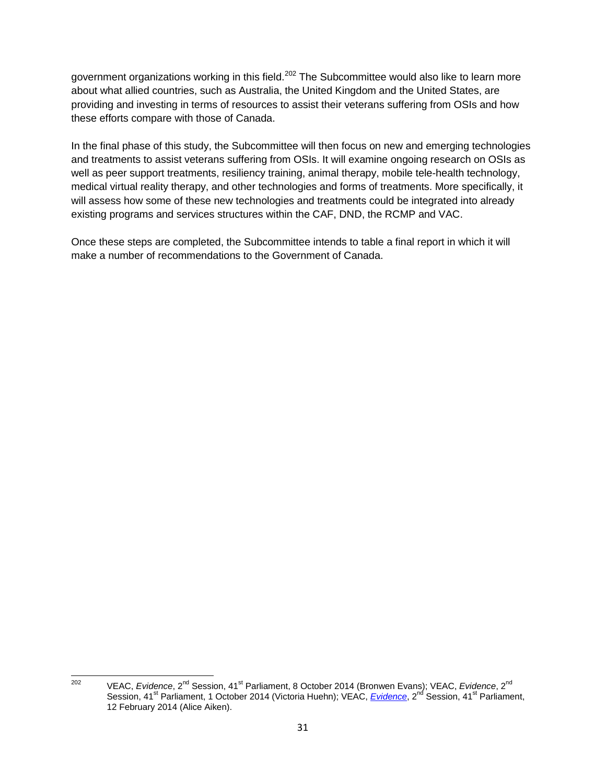government organizations working in this field.<sup>[202](#page-36-0)</sup> The Subcommittee would also like to learn more about what allied countries, such as Australia, the United Kingdom and the United States, are providing and investing in terms of resources to assist their veterans suffering from OSIs and how these efforts compare with those of Canada.

In the final phase of this study, the Subcommittee will then focus on new and emerging technologies and treatments to assist veterans suffering from OSIs. It will examine ongoing research on OSIs as well as peer support treatments, resiliency training, animal therapy, mobile tele-health technology, medical virtual reality therapy, and other technologies and forms of treatments. More specifically, it will assess how some of these new technologies and treatments could be integrated into already existing programs and services structures within the CAF, DND, the RCMP and VAC.

Once these steps are completed, the Subcommittee intends to table a final report in which it will make a number of recommendations to the Government of Canada.

<span id="page-36-0"></span><sup>202</sup> VEAC, *Evidence*, 2<sup>nd</sup> Session, 41<sup>st</sup> Parliament, 8 October 2014 (Bronwen Evans); VEAC, *Evidence*, 2<sup>nd</sup> Session, 41<sup>st</sup> Parliament, 1 October 2014 (Victoria Huehn); VEAC, *[Evidence](http://www.parl.gc.ca/Content/SEN/Committee/412/veac/pdf/02issue.pdf)*, 2<sup>nd</sup> Session, 41<sup>st</sup> Parliament, 12 February 2014 (Alice Aiken).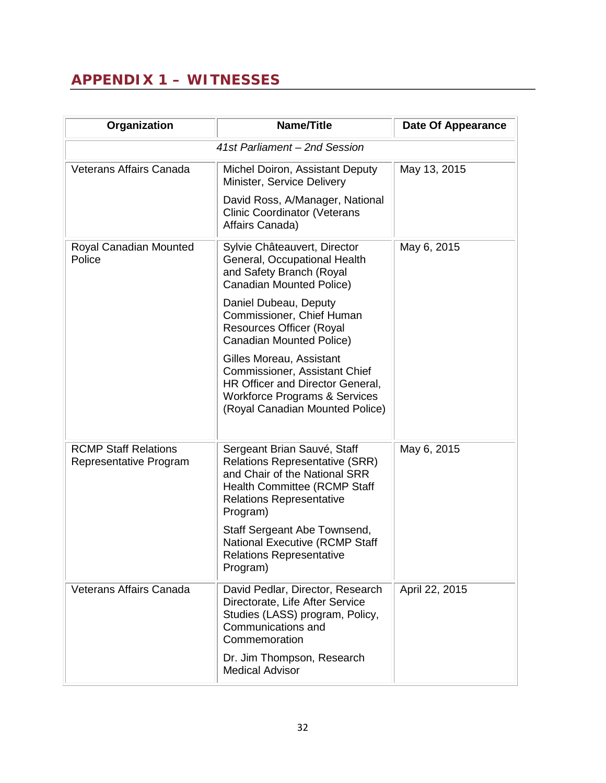# <span id="page-37-0"></span>**APPENDIX 1 – WITNESSES**

| Organization                                          | <b>Name/Title</b>                                                                                                                                                                           | <b>Date Of Appearance</b> |
|-------------------------------------------------------|---------------------------------------------------------------------------------------------------------------------------------------------------------------------------------------------|---------------------------|
|                                                       | 41st Parliament - 2nd Session                                                                                                                                                               |                           |
| <b>Veterans Affairs Canada</b>                        | Michel Doiron, Assistant Deputy<br>Minister, Service Delivery                                                                                                                               | May 13, 2015              |
|                                                       | David Ross, A/Manager, National<br><b>Clinic Coordinator (Veterans</b><br>Affairs Canada)                                                                                                   |                           |
| Royal Canadian Mounted<br>Police                      | Sylvie Châteauvert, Director<br>General, Occupational Health<br>and Safety Branch (Royal<br><b>Canadian Mounted Police)</b>                                                                 | May 6, 2015               |
|                                                       | Daniel Dubeau, Deputy<br>Commissioner, Chief Human<br><b>Resources Officer (Royal</b><br><b>Canadian Mounted Police)</b>                                                                    |                           |
|                                                       | Gilles Moreau, Assistant<br>Commissioner, Assistant Chief<br>HR Officer and Director General,<br><b>Workforce Programs &amp; Services</b><br>(Royal Canadian Mounted Police)                |                           |
| <b>RCMP Staff Relations</b><br>Representative Program | Sergeant Brian Sauvé, Staff<br><b>Relations Representative (SRR)</b><br>and Chair of the National SRR<br><b>Health Committee (RCMP Staff</b><br><b>Relations Representative</b><br>Program) | May 6, 2015               |
|                                                       | Staff Sergeant Abe Townsend,<br><b>National Executive (RCMP Staff</b><br><b>Relations Representative</b><br>Program)                                                                        |                           |
| <b>Veterans Affairs Canada</b>                        | David Pedlar, Director, Research<br>Directorate, Life After Service<br>Studies (LASS) program, Policy,<br>Communications and<br>Commemoration                                               | April 22, 2015            |
|                                                       | Dr. Jim Thompson, Research<br><b>Medical Advisor</b>                                                                                                                                        |                           |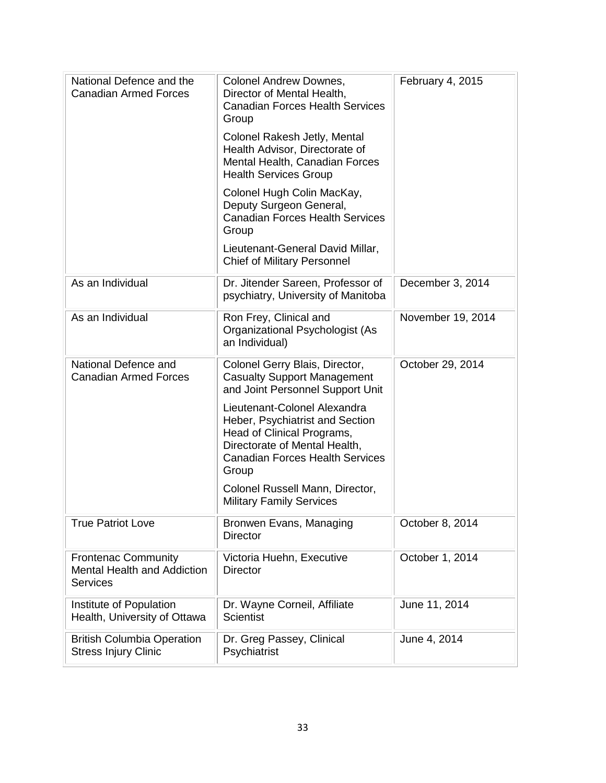| National Defence and the<br><b>Canadian Armed Forces</b>                            | <b>Colonel Andrew Downes,</b><br>Director of Mental Health,<br><b>Canadian Forces Health Services</b><br>Group                                                                    | February 4, 2015  |
|-------------------------------------------------------------------------------------|-----------------------------------------------------------------------------------------------------------------------------------------------------------------------------------|-------------------|
|                                                                                     | Colonel Rakesh Jetly, Mental<br>Health Advisor, Directorate of<br>Mental Health, Canadian Forces<br><b>Health Services Group</b>                                                  |                   |
|                                                                                     | Colonel Hugh Colin MacKay,<br>Deputy Surgeon General,<br><b>Canadian Forces Health Services</b><br>Group                                                                          |                   |
|                                                                                     | Lieutenant-General David Millar,<br><b>Chief of Military Personnel</b>                                                                                                            |                   |
| As an Individual                                                                    | Dr. Jitender Sareen, Professor of<br>psychiatry, University of Manitoba                                                                                                           | December 3, 2014  |
| As an Individual                                                                    | Ron Frey, Clinical and<br>Organizational Psychologist (As<br>an Individual)                                                                                                       | November 19, 2014 |
| National Defence and<br><b>Canadian Armed Forces</b>                                | Colonel Gerry Blais, Director,<br><b>Casualty Support Management</b><br>and Joint Personnel Support Unit                                                                          | October 29, 2014  |
|                                                                                     | Lieutenant-Colonel Alexandra<br>Heber, Psychiatrist and Section<br>Head of Clinical Programs,<br>Directorate of Mental Health,<br><b>Canadian Forces Health Services</b><br>Group |                   |
|                                                                                     | Colonel Russell Mann, Director,<br><b>Military Family Services</b>                                                                                                                |                   |
| <b>True Patriot Love</b>                                                            | Bronwen Evans, Managing<br><b>Director</b>                                                                                                                                        | October 8, 2014   |
| <b>Frontenac Community</b><br><b>Mental Health and Addiction</b><br><b>Services</b> | Victoria Huehn, Executive<br><b>Director</b>                                                                                                                                      | October 1, 2014   |
| Institute of Population<br>Health, University of Ottawa                             | Dr. Wayne Corneil, Affiliate<br><b>Scientist</b>                                                                                                                                  | June 11, 2014     |
| <b>British Columbia Operation</b><br><b>Stress Injury Clinic</b>                    | Dr. Greg Passey, Clinical<br>Psychiatrist                                                                                                                                         | June 4, 2014      |